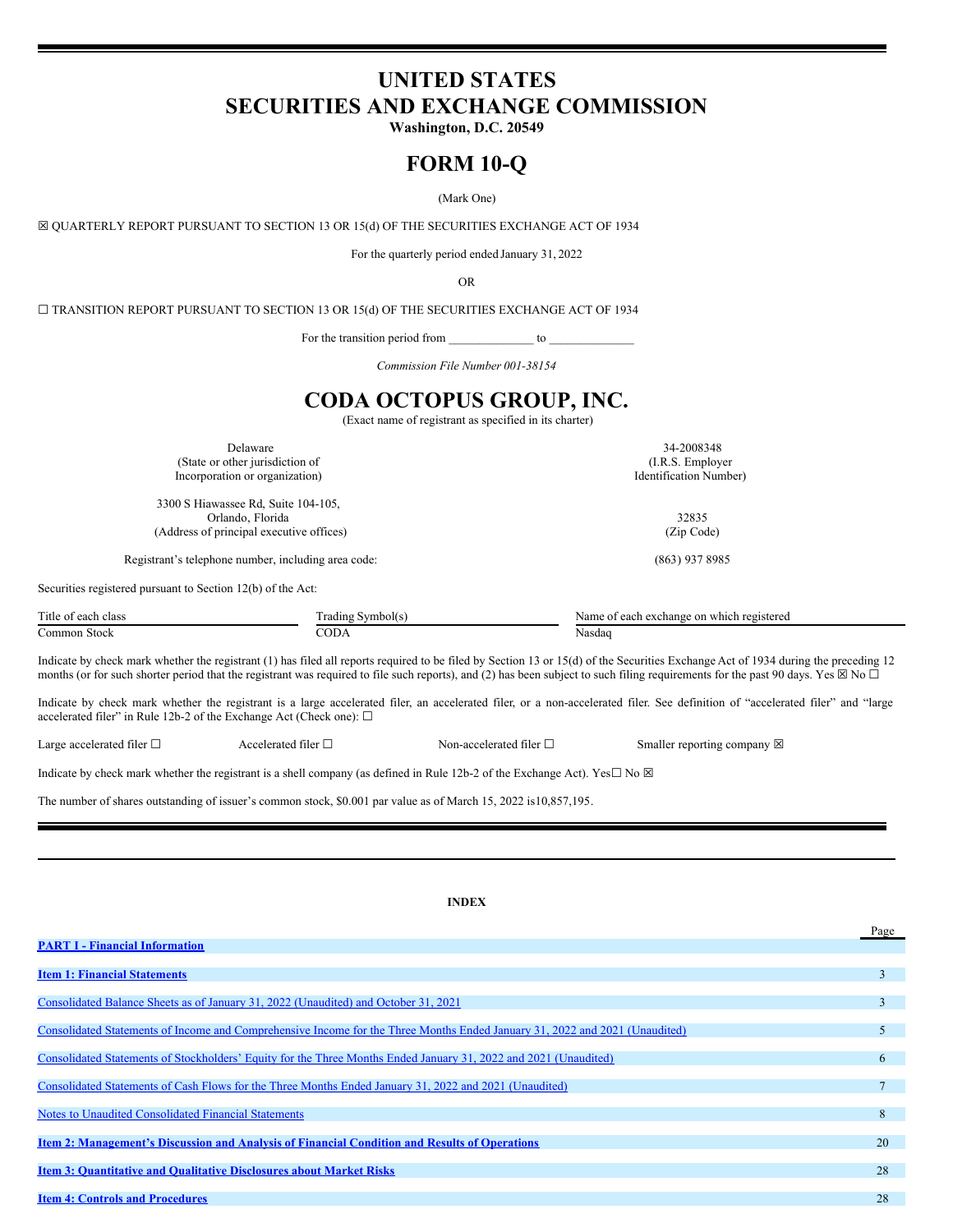# **UNITED STATES SECURITIES AND EXCHANGE COMMISSION**

**Washington, D.C. 20549**

# **FORM 10-Q**

(Mark One)

<span id="page-0-0"></span>☒ QUARTERLY REPORT PURSUANT TO SECTION 13 OR 15(d) OF THE SECURITIES EXCHANGE ACT OF 1934

For the quarterly period ended January 31, 2022

OR

☐ TRANSITION REPORT PURSUANT TO SECTION 13 OR 15(d) OF THE SECURITIES EXCHANGE ACT OF 1934

For the transition period from  $\frac{1}{\sqrt{1-\frac{1}{n}}}\cdot\frac{1}{\sqrt{1-\frac{1}{n}}}\cdot\frac{1}{\sqrt{1-\frac{1}{n}}}\cdot\frac{1}{\sqrt{1-\frac{1}{n}}}\cdot\frac{1}{\sqrt{1-\frac{1}{n}}}\cdot\frac{1}{\sqrt{1-\frac{1}{n}}}\cdot\frac{1}{\sqrt{1-\frac{1}{n}}}\cdot\frac{1}{\sqrt{1-\frac{1}{n}}}\cdot\frac{1}{\sqrt{1-\frac{1}{n}}}\cdot\frac{1}{\sqrt{1-\frac{1}{n}}}\cdot\frac{1}{\sqrt{1$ 

*Commission File Number 001-38154*

# **CODA OCTOPUS GROUP, INC.**

(Exact name of registrant as specified in its charter)

Delaware 34-2008348 (State or other jurisdiction of Incorporation or organization)

3300 S Hiawassee Rd, Suite 104-105, Orlando, Florida 32835 (Address of principal executive offices) (Zip Code)

Registrant's telephone number, including area code: (863) 937 8985

Securities registered pursuant to Section 12(b) of the Act:

| Title<br>class<br>$\sim$<br><b>CAUL</b> | Symbol(s)<br>l radını | ∶on<br>which registered<br>Name<br>each<br>. exchange |
|-----------------------------------------|-----------------------|-------------------------------------------------------|
| Common<br>Stock                         | $\sqrt{1}$<br>DΑ      | Nasdaq<br>.                                           |

Indicate by check mark whether the registrant (1) has filed all reports required to be filed by Section 13 or 15(d) of the Securities Exchange Act of 1934 during the preceding 12 months (or for such shorter period that the registrant was required to file such reports), and (2) has been subject to such filing requirements for the past 90 days. Yes  $\boxtimes$  No  $\Box$ 

Indicate by check mark whether the registrant is a large accelerated filer, an accelerated filer, or a non-accelerated filer. See definition of "accelerated filer" and "large accelerated filer" in Rule 12b-2 of the Exchange Act (Check one): □

Large accelerated filer □ Accelerated filer □ Non-accelerated filer □ Smaller reporting company ⊠

(I.R.S. Employer Identification Number)

Indicate by check mark whether the registrant is a shell company (as defined in Rule 12b-2 of the Exchange Act). Yes $\Box$  No  $\boxtimes$ 

The number of shares outstanding of issuer's common stock, \$0.001 par value as of March 15, 2022 is10,857,195.

**INDEX**

|                                                                                                                             | Page |
|-----------------------------------------------------------------------------------------------------------------------------|------|
| <b>PART I - Financial Information</b>                                                                                       |      |
|                                                                                                                             |      |
| <b>Item 1: Financial Statements</b>                                                                                         |      |
|                                                                                                                             |      |
| Consolidated Balance Sheets as of January 31, 2022 (Unaudited) and October 31, 2021                                         |      |
| Consolidated Statements of Income and Comprehensive Income for the Three Months Ended January 31, 2022 and 2021 (Unaudited) |      |
|                                                                                                                             |      |
| Consolidated Statements of Stockholders' Equity for the Three Months Ended January 31, 2022 and 2021 (Unaudited)            | 6    |
|                                                                                                                             |      |
| Consolidated Statements of Cash Flows for the Three Months Ended January 31, 2022 and 2021 (Unaudited)                      |      |
|                                                                                                                             |      |
| <b>Notes to Unaudited Consolidated Financial Statements</b>                                                                 | 8    |
|                                                                                                                             |      |
| <u>Item 2: Management's Discussion and Analysis of Financial Condition and Results of Operations</u>                        | 20   |
| <b>Item 3: Quantitative and Qualitative Disclosures about Market Risks</b>                                                  | 28   |
|                                                                                                                             |      |
| <b>Item 4: Controls and Procedures</b>                                                                                      | 28   |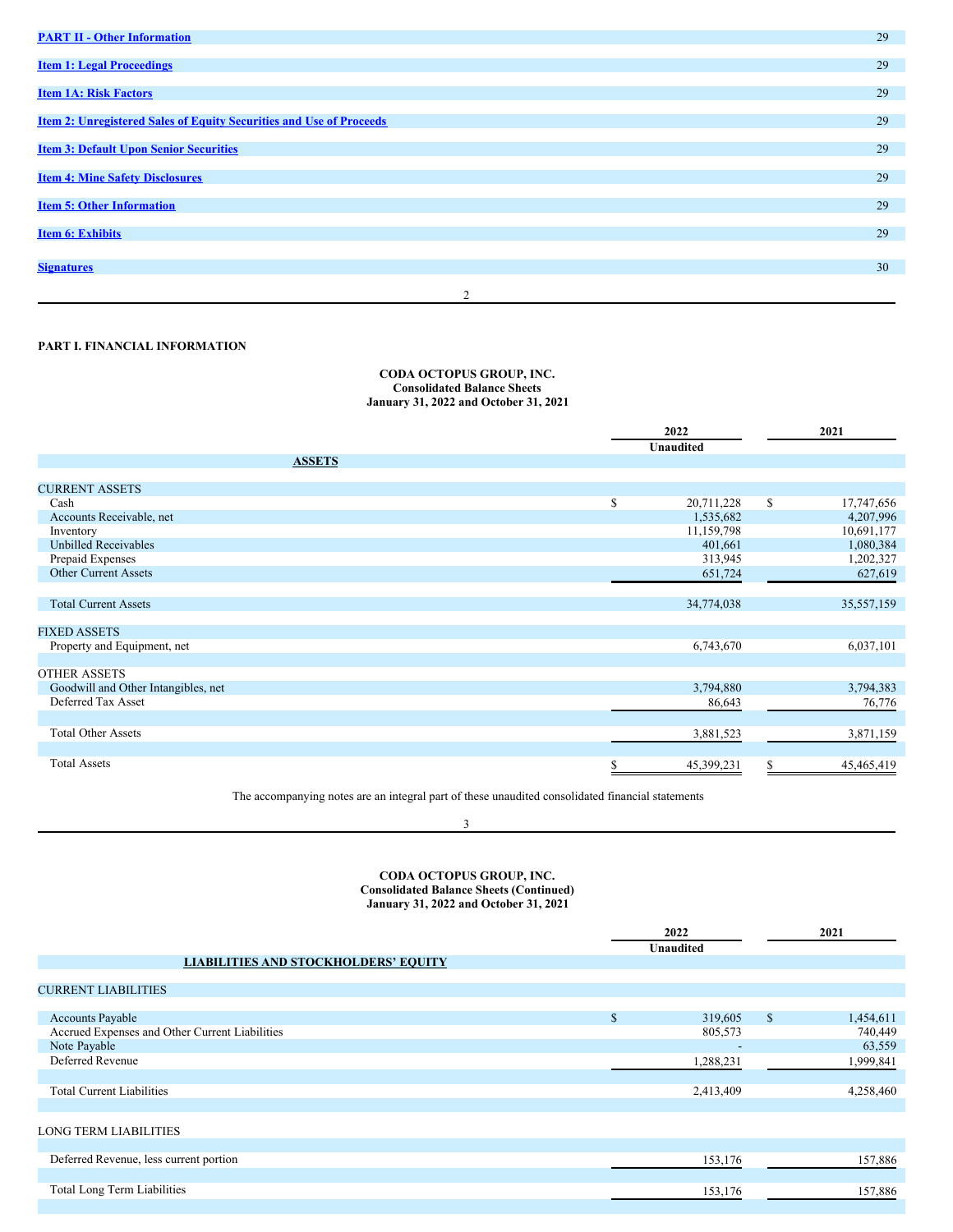| <b>PART II - Other Information</b>                                         | 29 |
|----------------------------------------------------------------------------|----|
| <b>Item 1: Legal Proceedings</b>                                           | 29 |
|                                                                            |    |
| <b>Item 1A: Risk Factors</b>                                               | 29 |
| <b>Item 2: Unregistered Sales of Equity Securities and Use of Proceeds</b> | 29 |
| <b>Item 3: Default Upon Senior Securities</b>                              | 29 |
| <b>Item 4: Mine Safety Disclosures</b>                                     | 29 |
| <b>Item 5: Other Information</b>                                           | 29 |
| <b>Item 6: Exhibits</b>                                                    | 29 |
|                                                                            |    |
| <b>Signatures</b>                                                          | 30 |
| $\overline{2}$                                                             |    |

# **PART I. FINANCIAL INFORMATION**

# **CODA OCTOPUS GROUP, INC. Consolidated Balance Sheets January 31, 2022 and October 31, 2021**

|                                     |    | 2022             |     | 2021       |  |
|-------------------------------------|----|------------------|-----|------------|--|
|                                     |    | <b>Unaudited</b> |     |            |  |
| <b>ASSETS</b>                       |    |                  |     |            |  |
|                                     |    |                  |     |            |  |
| <b>CURRENT ASSETS</b>               |    |                  |     |            |  |
| Cash                                | \$ | 20,711,228       | \$  | 17,747,656 |  |
| Accounts Receivable, net            |    | 1,535,682        |     | 4,207,996  |  |
| Inventory                           |    | 11,159,798       |     | 10,691,177 |  |
| <b>Unbilled Receivables</b>         |    | 401,661          |     | 1,080,384  |  |
| Prepaid Expenses                    |    | 313,945          |     | 1,202,327  |  |
| <b>Other Current Assets</b>         |    | 651,724          |     | 627,619    |  |
|                                     |    |                  |     |            |  |
| <b>Total Current Assets</b>         |    | 34,774,038       |     | 35,557,159 |  |
|                                     |    |                  |     |            |  |
| <b>FIXED ASSETS</b>                 |    |                  |     |            |  |
| Property and Equipment, net         |    | 6,743,670        |     | 6,037,101  |  |
|                                     |    |                  |     |            |  |
| <b>OTHER ASSETS</b>                 |    |                  |     |            |  |
| Goodwill and Other Intangibles, net |    | 3,794,880        |     | 3,794,383  |  |
| Deferred Tax Asset                  |    | 86,643           |     | 76,776     |  |
|                                     |    |                  |     |            |  |
| <b>Total Other Assets</b>           |    | 3,881,523        |     | 3,871,159  |  |
|                                     |    |                  |     |            |  |
| <b>Total Assets</b>                 | ς  | 45,399,231       | \$. | 45,465,419 |  |
|                                     |    |                  |     |            |  |
|                                     |    |                  |     |            |  |

The accompanying notes are an integral part of these unaudited consolidated financial statements

3

# **CODA OCTOPUS GROUP, INC. Consolidated Balance Sheets (Continued) January 31, 2022 and October 31, 2021**

|                                                |              | 2022<br><b>Unaudited</b> |              | 2021      |
|------------------------------------------------|--------------|--------------------------|--------------|-----------|
| <b>LIABILITIES AND STOCKHOLDERS' EQUITY</b>    |              |                          |              |           |
|                                                |              |                          |              |           |
| <b>CURRENT LIABILITIES</b>                     |              |                          |              |           |
|                                                |              |                          |              |           |
| <b>Accounts Payable</b>                        | $\mathbb{S}$ | 319,605                  | $\mathbb{S}$ | 1,454,611 |
| Accrued Expenses and Other Current Liabilities |              | 805,573                  |              | 740,449   |
| Note Payable                                   |              | $\overline{\phantom{a}}$ |              | 63,559    |
| Deferred Revenue                               |              | 1,288,231                |              | 1,999,841 |
|                                                |              |                          |              |           |
| <b>Total Current Liabilities</b>               |              | 2,413,409                |              | 4,258,460 |
|                                                |              |                          |              |           |
|                                                |              |                          |              |           |
| <b>LONG TERM LIABILITIES</b>                   |              |                          |              |           |
|                                                |              |                          |              |           |
| Deferred Revenue, less current portion         |              | 153,176                  |              | 157,886   |
|                                                |              |                          |              |           |
| <b>Total Long Term Liabilities</b>             |              | 153,176                  |              | 157,886   |
|                                                |              |                          |              |           |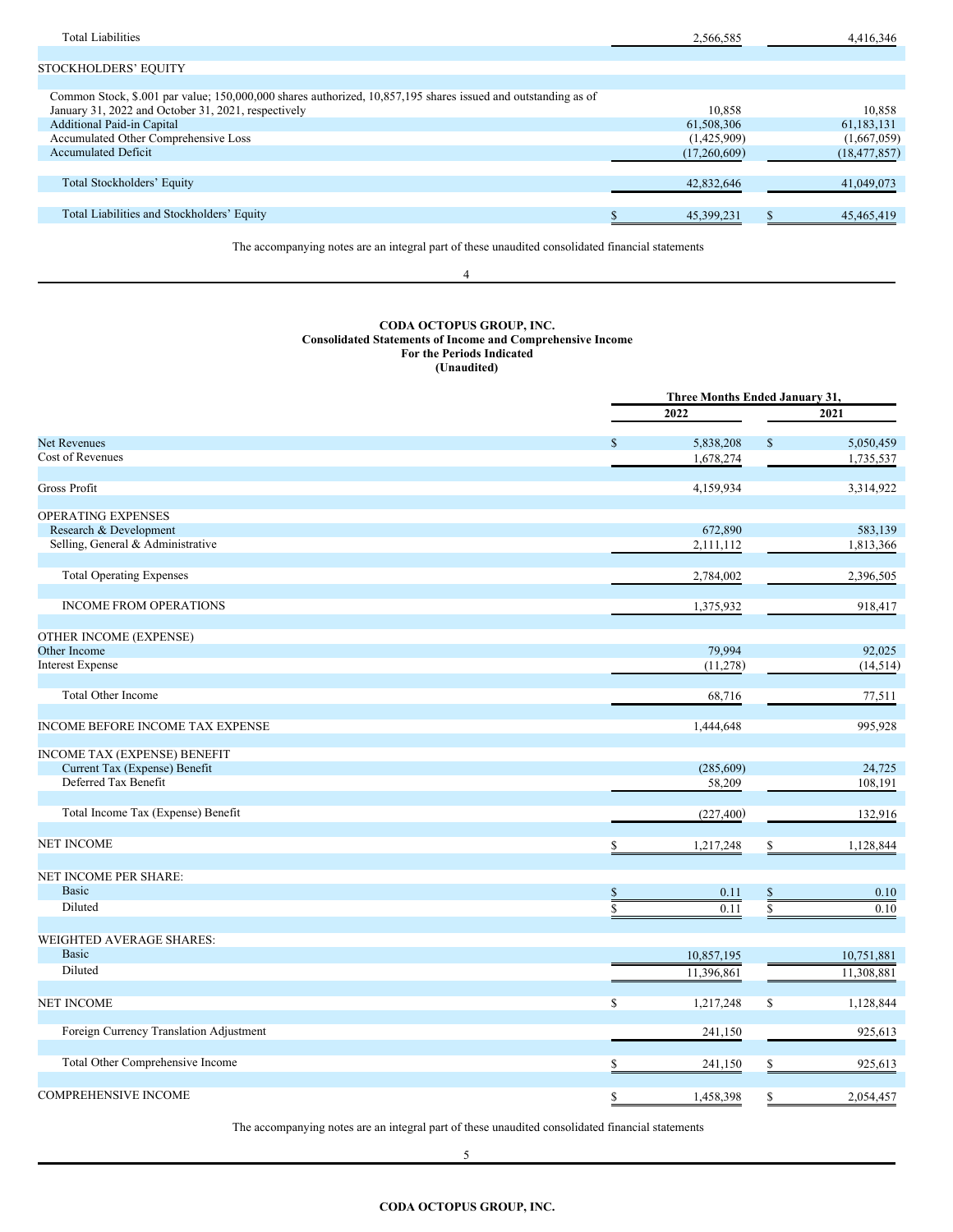| <b>Total Liabilities</b>                                                                                      | 2,566,585    | 4,416,346      |
|---------------------------------------------------------------------------------------------------------------|--------------|----------------|
|                                                                                                               |              |                |
| STOCKHOLDERS' EQUITY                                                                                          |              |                |
|                                                                                                               |              |                |
| Common Stock, \$.001 par value; 150,000,000 shares authorized, 10,857,195 shares issued and outstanding as of |              |                |
| January 31, 2022 and October 31, 2021, respectively                                                           | 10.858       | 10,858         |
| Additional Paid-in Capital                                                                                    | 61,508,306   | 61,183,131     |
| Accumulated Other Comprehensive Loss                                                                          | (1,425,909)  | (1,667,059)    |
| <b>Accumulated Deficit</b>                                                                                    | (17,260,609) | (18, 477, 857) |
|                                                                                                               |              |                |
| Total Stockholders' Equity                                                                                    | 42,832,646   | 41,049,073     |
|                                                                                                               |              |                |
| Total Liabilities and Stockholders' Equity                                                                    | 45,399,231   | 45,465,419     |
|                                                                                                               |              |                |

The accompanying notes are an integral part of these unaudited consolidated financial statements

# 4

# **CODA OCTOPUS GROUP, INC. Consolidated Statements of Income and Comprehensive Income For the Periods Indicated (Unaudited)**

|                                         |                           | Three Months Ended January 31, |            |  |
|-----------------------------------------|---------------------------|--------------------------------|------------|--|
|                                         | 2022                      |                                | 2021       |  |
| <b>Net Revenues</b>                     | 5,838,208<br>\$.          | \$                             | 5,050,459  |  |
| Cost of Revenues                        | 1,678,274                 |                                | 1,735,537  |  |
| Gross Profit                            | 4,159,934                 |                                | 3,314,922  |  |
| OPERATING EXPENSES                      |                           |                                |            |  |
| Research & Development                  | 672,890                   |                                | 583,139    |  |
| Selling, General & Administrative       | 2,111,112                 |                                | 1,813,366  |  |
| <b>Total Operating Expenses</b>         | 2,784,002                 |                                | 2,396,505  |  |
| <b>INCOME FROM OPERATIONS</b>           | 1,375,932                 |                                | 918,417    |  |
| OTHER INCOME (EXPENSE)                  |                           |                                |            |  |
| Other Income                            | 79,994                    |                                | 92,025     |  |
| <b>Interest Expense</b>                 | (11,278)                  |                                | (14, 514)  |  |
| Total Other Income                      | 68,716                    |                                | 77,511     |  |
| INCOME BEFORE INCOME TAX EXPENSE        | 1,444,648                 |                                | 995,928    |  |
| INCOME TAX (EXPENSE) BENEFIT            |                           |                                |            |  |
| Current Tax (Expense) Benefit           | (285, 609)                |                                | 24,725     |  |
| Deferred Tax Benefit                    | 58,209                    |                                | 108,191    |  |
| Total Income Tax (Expense) Benefit      | (227, 400)                |                                | 132,916    |  |
| <b>NET INCOME</b>                       | 1,217,248                 |                                | 1,128,844  |  |
| NET INCOME PER SHARE:                   |                           |                                |            |  |
| <b>Basic</b>                            | \$<br>0.11                | \$                             | 0.10       |  |
| Diluted                                 |                           | $\overline{\$}$                |            |  |
|                                         | 0.11                      |                                | 0.10       |  |
| <b>WEIGHTED AVERAGE SHARES:</b>         |                           |                                |            |  |
| <b>Basic</b>                            | 10,857,195                |                                | 10,751,881 |  |
| Diluted                                 | 11,396,861                |                                | 11,308,881 |  |
| <b>NET INCOME</b>                       | \$<br>1,217,248           | \$                             | 1,128,844  |  |
| Foreign Currency Translation Adjustment | 241,150                   |                                | 925,613    |  |
| Total Other Comprehensive Income        | 241,150                   | \$                             | 925,613    |  |
| <b>COMPREHENSIVE INCOME</b>             | $\mathbb{S}$<br>1,458,398 | $\mathbb{S}$                   | 2,054,457  |  |

The accompanying notes are an integral part of these unaudited consolidated financial statements

# 5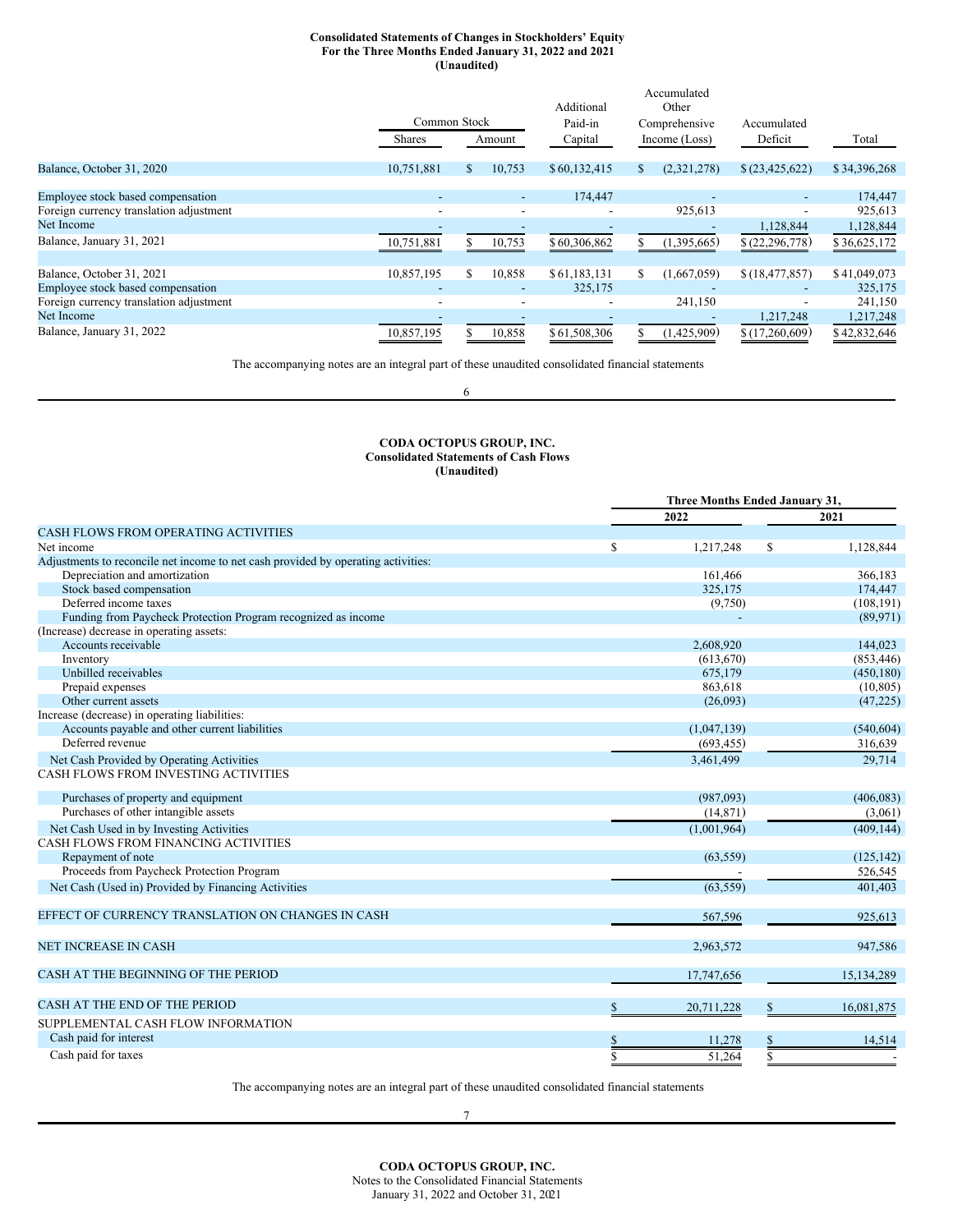#### **Consolidated Statements of Changes in Stockholders' Equity For the Three Months Ended January 31, 2022 and 2021 (Unaudited)**

|                                         | Common Stock  |    |                          | Additional<br>Paid-in |    | Accumulated<br>Other<br>Comprehensive | Accumulated       |              |
|-----------------------------------------|---------------|----|--------------------------|-----------------------|----|---------------------------------------|-------------------|--------------|
|                                         | <b>Shares</b> |    | Amount                   | Capital               |    | Income $(Loss)$                       | Deficit           | Total        |
| Balance, October 31, 2020               | 10,751,881    | S. | 10,753                   | \$60,132,415          | S. | (2,321,278)                           | \$ (23, 425, 622) | \$34,396,268 |
| Employee stock based compensation       |               |    |                          | 174,447               |    |                                       | -                 | 174,447      |
| Foreign currency translation adjustment |               |    |                          |                       |    | 925,613                               | ۰                 | 925,613      |
| Net Income                              |               |    |                          |                       |    |                                       | 1,128,844         | 1,128,844    |
| Balance, January 31, 2021               | 10,751,881    |    | 10,753                   | \$60,306,862          |    | (1,395,665)                           | \$(22,296,778)    | \$36,625,172 |
|                                         |               |    |                          |                       |    |                                       |                   |              |
| Balance, October 31, 2021               | 10,857,195    | S. | 10,858                   | \$61,183,131          | S. | (1,667,059)                           | \$(18, 477, 857)  | \$41,049,073 |
| Employee stock based compensation       |               |    | $\overline{\phantom{0}}$ | 325,175               |    |                                       | ۰.                | 325,175      |
| Foreign currency translation adjustment |               |    |                          |                       |    | 241,150                               | ۰                 | 241,150      |
| Net Income                              |               |    |                          |                       |    |                                       | 1,217,248         | 1,217,248    |
| Balance, January 31, 2022               | 10.857.195    |    | 10,858                   | \$61,508,306          |    | (1,425,909)                           | \$(17,260,609)    | \$42,832,646 |

The accompanying notes are an integral part of these unaudited consolidated financial statements 6

### **CODA OCTOPUS GROUP, INC. Consolidated Statements of Cash Flows (Unaudited)**

|                                                                                   | Three Months Ended January 31, |             |    |            |
|-----------------------------------------------------------------------------------|--------------------------------|-------------|----|------------|
|                                                                                   |                                | 2022        |    | 2021       |
| CASH FLOWS FROM OPERATING ACTIVITIES                                              |                                |             |    |            |
| Net income                                                                        | \$.                            | 1,217,248   | \$ | 1,128,844  |
| Adjustments to reconcile net income to net cash provided by operating activities: |                                |             |    |            |
| Depreciation and amortization                                                     |                                | 161,466     |    | 366.183    |
| Stock based compensation                                                          |                                | 325,175     |    | 174,447    |
| Deferred income taxes                                                             |                                | (9,750)     |    | (108, 191) |
| Funding from Paycheck Protection Program recognized as income                     |                                |             |    | (89, 971)  |
| (Increase) decrease in operating assets:                                          |                                |             |    |            |
| Accounts receivable                                                               |                                | 2,608,920   |    | 144,023    |
| Inventory                                                                         |                                | (613, 670)  |    | (853, 446) |
| Unbilled receivables                                                              |                                | 675,179     |    | (450, 180) |
| Prepaid expenses                                                                  |                                | 863,618     |    | (10, 805)  |
| Other current assets                                                              |                                | (26,093)    |    | (47,225)   |
| Increase (decrease) in operating liabilities:                                     |                                |             |    |            |
| Accounts payable and other current liabilities                                    |                                | (1,047,139) |    | (540, 604) |
| Deferred revenue                                                                  |                                | (693, 455)  |    | 316,639    |
| Net Cash Provided by Operating Activities                                         |                                | 3,461,499   |    | 29,714     |
| CASH FLOWS FROM INVESTING ACTIVITIES                                              |                                |             |    |            |
| Purchases of property and equipment                                               |                                | (987,093)   |    | (406, 083) |
| Purchases of other intangible assets                                              |                                | (14, 871)   |    | (3,061)    |
| Net Cash Used in by Investing Activities                                          |                                | (1,001,964) |    | (409, 144) |
| CASH FLOWS FROM FINANCING ACTIVITIES                                              |                                |             |    |            |
| Repayment of note                                                                 |                                | (63, 559)   |    | (125, 142) |
| Proceeds from Paycheck Protection Program                                         |                                |             |    | 526,545    |
| Net Cash (Used in) Provided by Financing Activities                               |                                | (63, 559)   |    | 401,403    |
|                                                                                   |                                |             |    |            |
| EFFECT OF CURRENCY TRANSLATION ON CHANGES IN CASH                                 |                                | 567,596     |    | 925,613    |
|                                                                                   |                                |             |    |            |
| <b>NET INCREASE IN CASH</b>                                                       |                                | 2,963,572   |    | 947,586    |
| CASH AT THE BEGINNING OF THE PERIOD                                               |                                | 17,747,656  |    | 15,134,289 |
|                                                                                   |                                |             |    |            |
| CASH AT THE END OF THE PERIOD                                                     |                                | 20,711,228  | \$ | 16,081,875 |
| SUPPLEMENTAL CASH FLOW INFORMATION                                                |                                |             |    |            |
| Cash paid for interest                                                            | S                              | 11,278      | \$ | 14,514     |
| Cash paid for taxes                                                               | S                              | 51,264      | \$ |            |
|                                                                                   |                                |             |    |            |

The accompanying notes are an integral part of these unaudited consolidated financial statements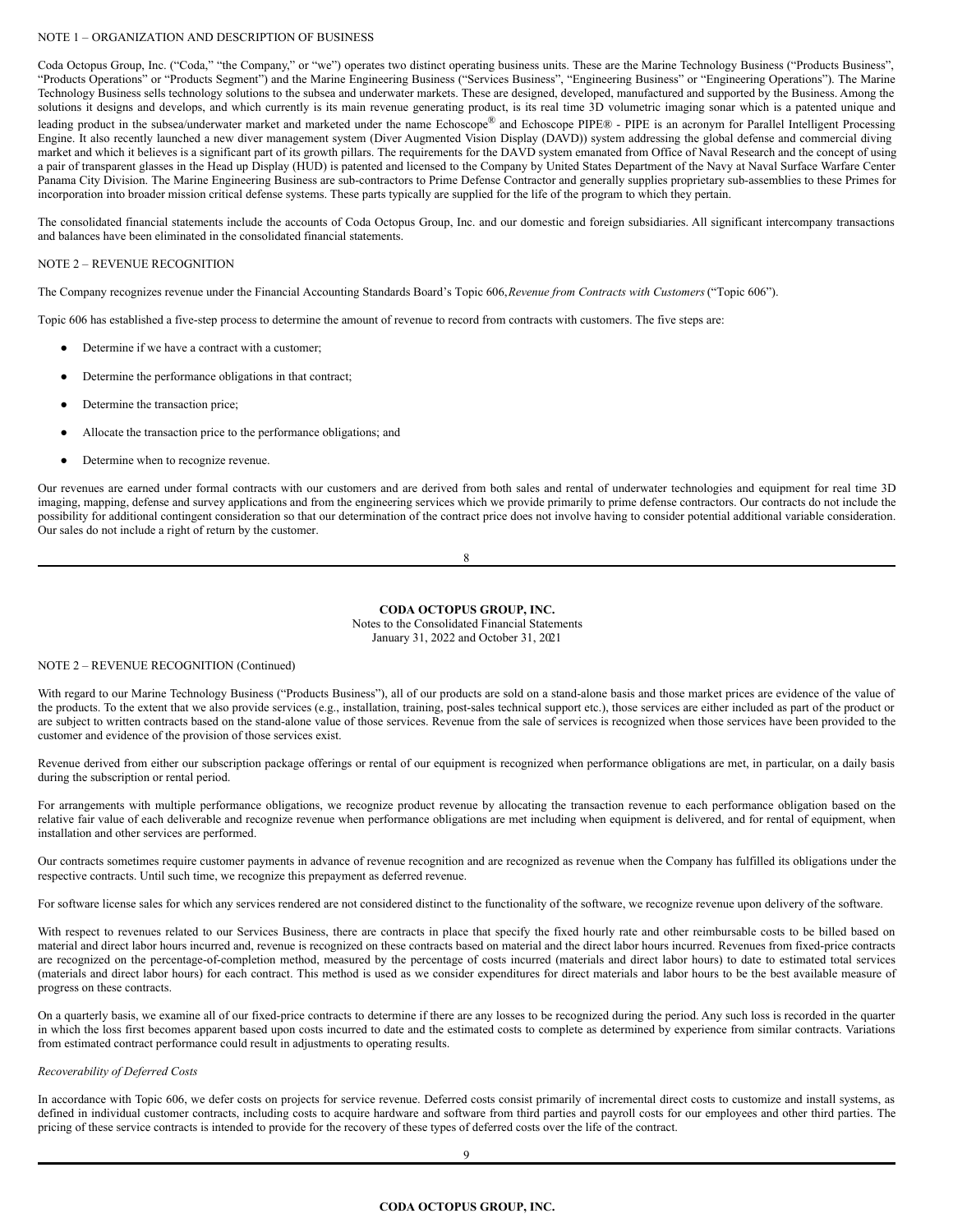### NOTE 1 – ORGANIZATION AND DESCRIPTION OF BUSINESS

Coda Octopus Group, Inc. ("Coda," "the Company," or "we") operates two distinct operating business units. These are the Marine Technology Business ("Products Business", "Products Operations" or "Products Segment") and the Marine Engineering Business ("Services Business", "Engineering Business" or "Engineering Operations"). The Marine Technology Business sells technology solutions to the subsea and underwater markets. These are designed, developed, manufactured and supported by the Business. Among the solutions it designs and develops, and which currently is its main revenue generating product, is its real time 3D volumetric imaging sonar which is a patented unique and leading product in the subsea/underwater market and marketed under the name Echoscope® and Echoscope PIPE® - PIPE is an acronym for Parallel Intelligent Processing Engine. It also recently launched a new diver management system (Diver Augmented Vision Display (DAVD)) system addressing the global defense and commercial diving market and which it believes is a significant part of its growth pillars. The requirements for the DAVD system emanated from Office of Naval Research and the concept of using a pair of transparent glasses in the Head up Display (HUD) is patented and licensed to the Company by United States Department of the Navy at Naval Surface Warfare Center Panama City Division. The Marine Engineering Business are sub-contractors to Prime Defense Contractor and generally supplies proprietary sub-assemblies to these Primes for incorporation into broader mission critical defense systems. These parts typically are supplied for the life of the program to which they pertain.

The consolidated financial statements include the accounts of Coda Octopus Group, Inc. and our domestic and foreign subsidiaries. All significant intercompany transactions and balances have been eliminated in the consolidated financial statements.

#### NOTE 2 – REVENUE RECOGNITION

The Company recognizes revenue under the Financial Accounting Standards Board's Topic 606,*Revenue from Contracts with Customers*("Topic 606").

Topic 606 has established a five-step process to determine the amount of revenue to record from contracts with customers. The five steps are:

- Determine if we have a contract with a customer;
- Determine the performance obligations in that contract;
- Determine the transaction price;
- Allocate the transaction price to the performance obligations; and
- Determine when to recognize revenue.

Our revenues are earned under formal contracts with our customers and are derived from both sales and rental of underwater technologies and equipment for real time 3D imaging, mapping, defense and survey applications and from the engineering services which we provide primarily to prime defense contractors. Our contracts do not include the possibility for additional contingent consideration so that our determination of the contract price does not involve having to consider potential additional variable consideration. Our sales do not include a right of return by the customer.

8

# **CODA OCTOPUS GROUP, INC.**

Notes to the Consolidated Financial Statements January 31, 2022 and October 31, 2021

# NOTE 2 – REVENUE RECOGNITION (Continued)

With regard to our Marine Technology Business ("Products Business"), all of our products are sold on a stand-alone basis and those market prices are evidence of the value of the products. To the extent that we also provide services (e.g., installation, training, post-sales technical support etc.), those services are either included as part of the product or are subject to written contracts based on the stand-alone value of those services. Revenue from the sale of services is recognized when those services have been provided to the customer and evidence of the provision of those services exist.

Revenue derived from either our subscription package offerings or rental of our equipment is recognized when performance obligations are met, in particular, on a daily basis during the subscription or rental period.

For arrangements with multiple performance obligations, we recognize product revenue by allocating the transaction revenue to each performance obligation based on the relative fair value of each deliverable and recognize revenue when performance obligations are met including when equipment is delivered, and for rental of equipment, when installation and other services are performed.

Our contracts sometimes require customer payments in advance of revenue recognition and are recognized as revenue when the Company has fulfilled its obligations under the respective contracts. Until such time, we recognize this prepayment as deferred revenue.

For software license sales for which any services rendered are not considered distinct to the functionality of the software, we recognize revenue upon delivery of the software.

With respect to revenues related to our Services Business, there are contracts in place that specify the fixed hourly rate and other reimbursable costs to be billed based on material and direct labor hours incurred and, revenue is recognized on these contracts based on material and the direct labor hours incurred. Revenues from fixed-price contracts are recognized on the percentage-of-completion method, measured by the percentage of costs incurred (materials and direct labor hours) to date to estimated total services (materials and direct labor hours) for each contract. This method is used as we consider expenditures for direct materials and labor hours to be the best available measure of progress on these contracts.

On a quarterly basis, we examine all of our fixed-price contracts to determine if there are any losses to be recognized during the period. Any such loss is recorded in the quarter in which the loss first becomes apparent based upon costs incurred to date and the estimated costs to complete as determined by experience from similar contracts. Variations from estimated contract performance could result in adjustments to operating results.

### *Recoverability of Deferred Costs*

In accordance with Topic 606, we defer costs on projects for service revenue. Deferred costs consist primarily of incremental direct costs to customize and install systems, as defined in individual customer contracts, including costs to acquire hardware and software from third parties and payroll costs for our employees and other third parties. The pricing of these service contracts is intended to provide for the recovery of these types of deferred costs over the life of the contract.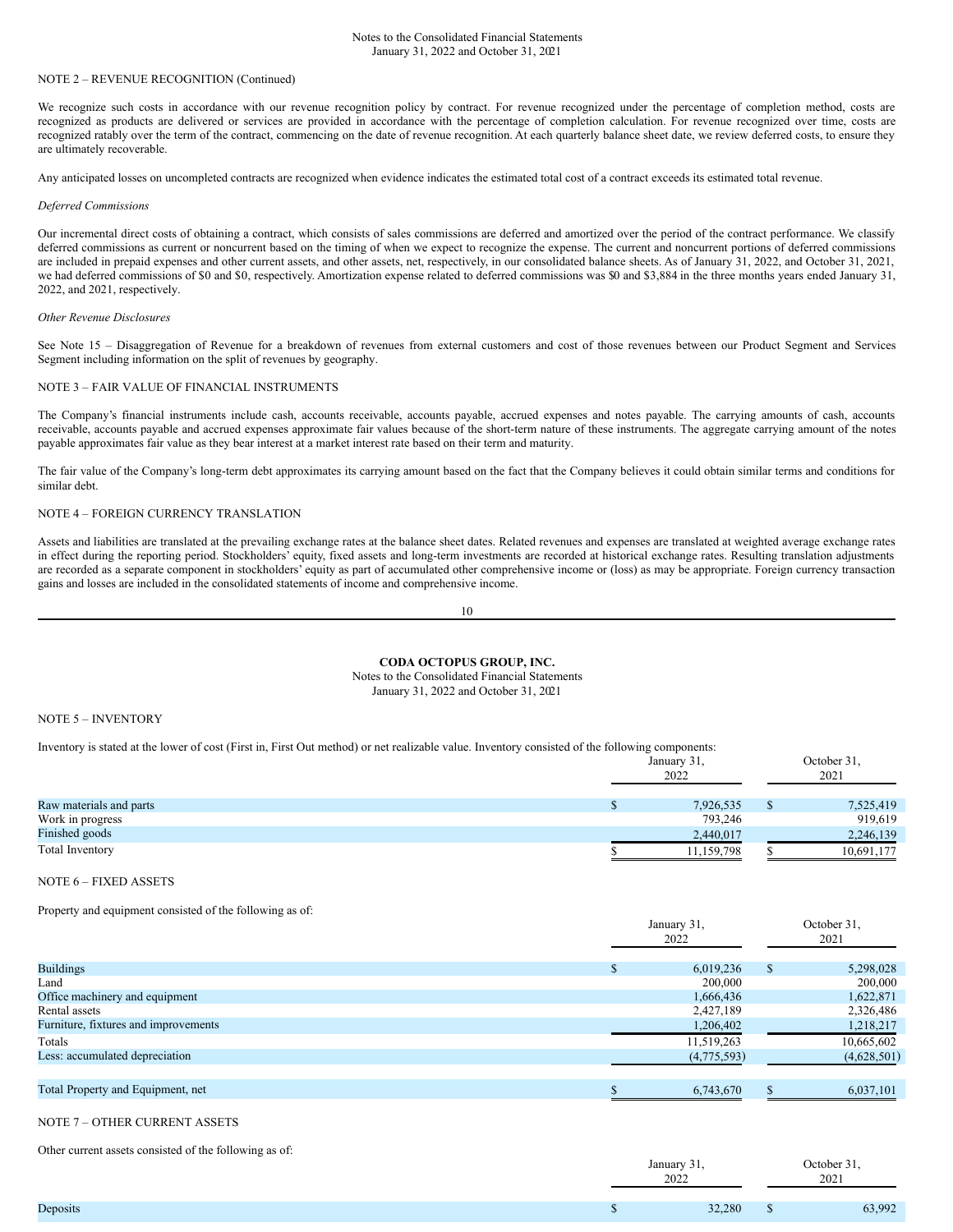#### Notes to the Consolidated Financial Statements January 31, 2022 and October 31, 2021

# NOTE 2 – REVENUE RECOGNITION (Continued)

We recognize such costs in accordance with our revenue recognition policy by contract. For revenue recognized under the percentage of completion method, costs are recognized as products are delivered or services are provided in accordance with the percentage of completion calculation. For revenue recognized over time, costs are recognized ratably over the term of the contract, commencing on the date of revenue recognition. At each quarterly balance sheet date, we review deferred costs, to ensure they are ultimately recoverable.

Any anticipated losses on uncompleted contracts are recognized when evidence indicates the estimated total cost of a contract exceeds its estimated total revenue.

### *Deferred Commissions*

Our incremental direct costs of obtaining a contract, which consists of sales commissions are deferred and amortized over the period of the contract performance. We classify deferred commissions as current or noncurrent based on the timing of when we expect to recognize the expense. The current and noncurrent portions of deferred commissions are included in prepaid expenses and other current assets, and other assets, net, respectively, in our consolidated balance sheets. As of January 31, 2022, and October 31, 2021, we had deferred commissions of \$0 and \$0, respectively. Amortization expense related to deferred commissions was \$0 and \$3,884 in the three months years ended January 31, 2022, and 2021, respectively.

#### *Other Revenue Disclosures*

See Note 15 – Disaggregation of Revenue for a breakdown of revenues from external customers and cost of those revenues between our Product Segment and Services Segment including information on the split of revenues by geography.

### NOTE 3 – FAIR VALUE OF FINANCIAL INSTRUMENTS

The Company's financial instruments include cash, accounts receivable, accounts payable, accrued expenses and notes payable. The carrying amounts of cash, accounts receivable, accounts payable and accrued expenses approximate fair values because of the short-term nature of these instruments. The aggregate carrying amount of the notes payable approximates fair value as they bear interest at a market interest rate based on their term and maturity.

The fair value of the Company's long-term debt approximates its carrying amount based on the fact that the Company believes it could obtain similar terms and conditions for similar debt.

# NOTE 4 – FOREIGN CURRENCY TRANSLATION

Assets and liabilities are translated at the prevailing exchange rates at the balance sheet dates. Related revenues and expenses are translated at weighted average exchange rates in effect during the reporting period. Stockholders' equity, fixed assets and long-term investments are recorded at historical exchange rates. Resulting translation adjustments are recorded as a separate component in stockholders' equity as part of accumulated other comprehensive income or (loss) as may be appropriate. Foreign currency transaction gains and losses are included in the consolidated statements of income and comprehensive income.

10

# **CODA OCTOPUS GROUP, INC.**

Notes to the Consolidated Financial Statements January 31, 2022 and October 31, 2021

## NOTE 5 – INVENTORY

| Inventory is stated at the lower of cost (First in, First Out method) or net realizable value. Inventory consisted of the following components: |             |            |             |            |  |
|-------------------------------------------------------------------------------------------------------------------------------------------------|-------------|------------|-------------|------------|--|
|                                                                                                                                                 | January 31, |            | October 31. |            |  |
|                                                                                                                                                 | 2022        |            |             | 2021       |  |
| Raw materials and parts                                                                                                                         |             | 7.926.535  |             | 7,525,419  |  |
| Work in progress                                                                                                                                |             | 793,246    |             | 919.619    |  |
| Finished goods                                                                                                                                  |             | 2,440,017  |             | 2.246.139  |  |
| Total Inventory                                                                                                                                 |             | 11,159,798 |             | 10,691,177 |  |

# NOTE 6 – FIXED ASSETS

Property and equipment consisted of the following as of:

|                                      |    | January 31,<br>2022 |               | October 31,<br>2021 |
|--------------------------------------|----|---------------------|---------------|---------------------|
|                                      |    |                     |               |                     |
| <b>Buildings</b>                     | S. | 6,019,236           | <sup>\$</sup> | 5,298,028           |
| Land                                 |    | 200,000             |               | 200,000             |
| Office machinery and equipment       |    | 1,666,436           |               | 1,622,871           |
| Rental assets                        |    | 2,427,189           |               | 2,326,486           |
| Furniture, fixtures and improvements |    | 1,206,402           |               | 1,218,217           |
| Totals                               |    | 11,519,263          |               | 10,665,602          |
| Less: accumulated depreciation       |    | (4,775,593)         |               | (4,628,501)         |
|                                      |    |                     |               |                     |
| Total Property and Equipment, net    |    | 6,743,670           |               | 6.037.101           |

# NOTE 7 – OTHER CURRENT ASSETS

Other current assets consisted of the following as of:

|          | $\sim$ $\sim$<br>January 31, |  | $\sim$ $\sim$<br>October 31, |
|----------|------------------------------|--|------------------------------|
|          | 2022                         |  | 2021                         |
| Deposits | 32,280                       |  | 63,992                       |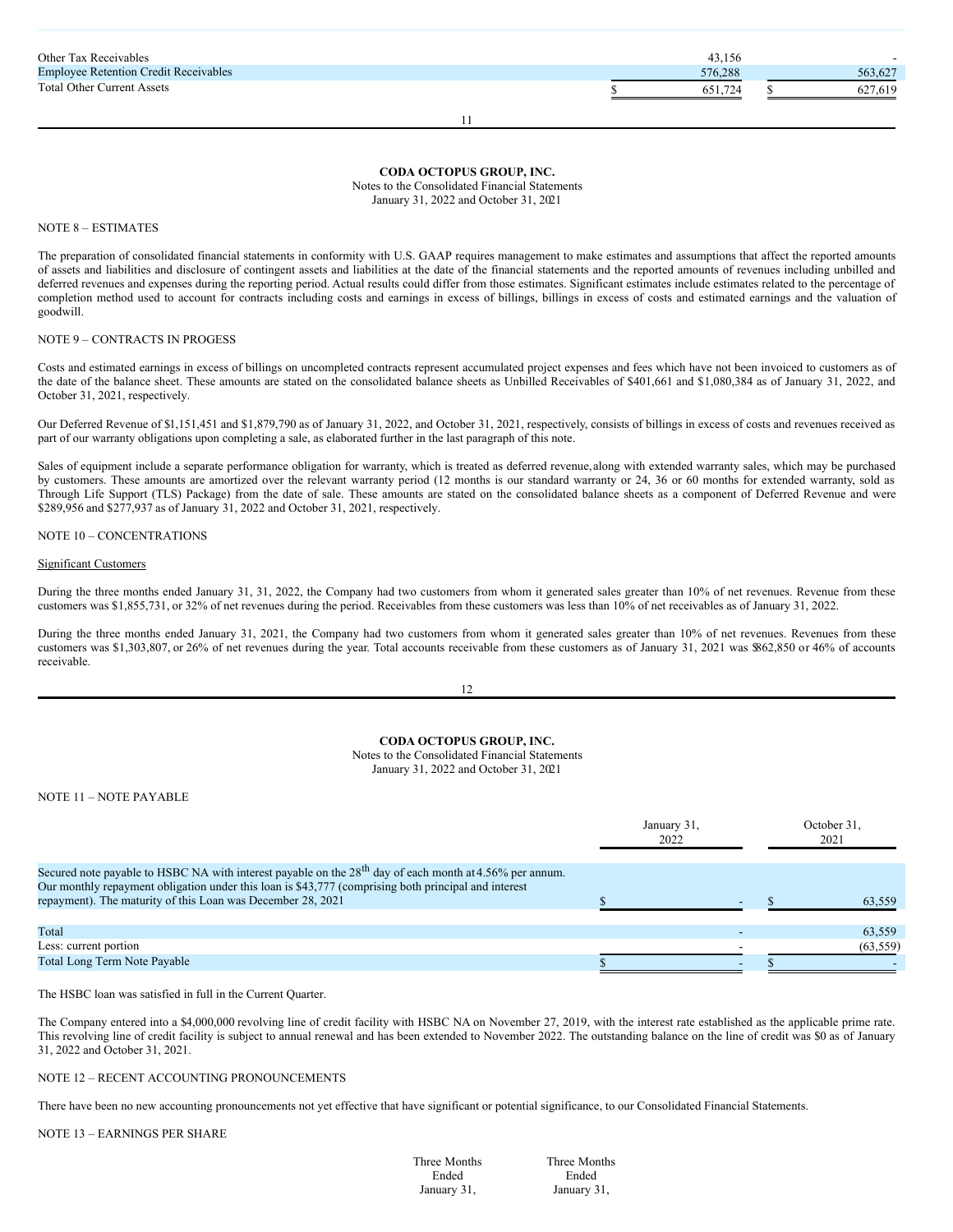| Other Tax Receivables                        | 43,156  |         |
|----------------------------------------------|---------|---------|
| <b>Employee Retention Credit Receivables</b> | 576,288 | 563,627 |
| <b>Total Other Current Assets</b>            | 651.724 | 627.619 |

11

# **CODA OCTOPUS GROUP, INC.**

Notes to the Consolidated Financial Statements January 31, 2022 and October 31, 2021

NOTE 8 – ESTIMATES

The preparation of consolidated financial statements in conformity with U.S. GAAP requires management to make estimates and assumptions that affect the reported amounts of assets and liabilities and disclosure of contingent assets and liabilities at the date of the financial statements and the reported amounts of revenues including unbilled and deferred revenues and expenses during the reporting period. Actual results could differ from those estimates. Significant estimates include estimates related to the percentage of completion method used to account for contracts including costs and earnings in excess of billings, billings in excess of costs and estimated earnings and the valuation of goodwill.

# NOTE 9 – CONTRACTS IN PROGESS

Costs and estimated earnings in excess of billings on uncompleted contracts represent accumulated project expenses and fees which have not been invoiced to customers as of the date of the balance sheet. These amounts are stated on the consolidated balance sheets as Unbilled Receivables of \$401,661 and \$1,080,384 as of January 31, 2022, and October 31, 2021, respectively.

Our Deferred Revenue of \$1,151,451 and \$1,879,790 as of January 31, 2022, and October 31, 2021, respectively, consists of billings in excess of costs and revenues received as part of our warranty obligations upon completing a sale, as elaborated further in the last paragraph of this note.

Sales of equipment include a separate performance obligation for warranty, which is treated as deferred revenue,along with extended warranty sales, which may be purchased by customers. These amounts are amortized over the relevant warranty period (12 months is our standard warranty or 24, 36 or 60 months for extended warranty, sold as Through Life Support (TLS) Package) from the date of sale. These amounts are stated on the consolidated balance sheets as a component of Deferred Revenue and were \$289,956 and \$277,937 as of January 31, 2022 and October 31, 2021, respectively.

### NOTE 10 – CONCENTRATIONS

#### Significant Customers

During the three months ended January 31, 31, 2022, the Company had two customers from whom it generated sales greater than 10% of net revenues. Revenue from these customers was \$1,855,731, or 32% of net revenues during the period. Receivables from these customers was less than 10% of net receivables as of January 31, 2022.

During the three months ended January 31, 2021, the Company had two customers from whom it generated sales greater than 10% of net revenues. Revenues from these customers was \$1,303,807, or 26% of net revenues during the year. Total accounts receivable from these customers as of January 31, 2021 was \$862,850 or 46% of accounts receivable.

12

# **CODA OCTOPUS GROUP, INC.**

Notes to the Consolidated Financial Statements January 31, 2022 and October 31, 2021

NOTE 11 – NOTE PAYABLE

|                                                                                                                                                                                                                                                                                            | January 31.<br>2022 | October 31.<br>2021 |
|--------------------------------------------------------------------------------------------------------------------------------------------------------------------------------------------------------------------------------------------------------------------------------------------|---------------------|---------------------|
| Secured note payable to HSBC NA with interest payable on the 28 <sup>th</sup> day of each month at 4.56% per annum.<br>Our monthly repayment obligation under this loan is \$43,777 (comprising both principal and interest<br>repayment). The maturity of this Loan was December 28, 2021 |                     | 63,559              |
| Total                                                                                                                                                                                                                                                                                      |                     | 63,559              |
| Less: current portion                                                                                                                                                                                                                                                                      |                     | (63, 559)           |
| <b>Total Long Term Note Payable</b>                                                                                                                                                                                                                                                        |                     |                     |

The HSBC loan was satisfied in full in the Current Quarter.

The Company entered into a \$4,000,000 revolving line of credit facility with HSBC NA on November 27, 2019, with the interest rate established as the applicable prime rate. This revolving line of credit facility is subject to annual renewal and has been extended to November 2022. The outstanding balance on the line of credit was \$0 as of January 31, 2022 and October 31, 2021.

# NOTE 12 – RECENT ACCOUNTING PRONOUNCEMENTS

There have been no new accounting pronouncements not yet effective that have significant or potential significance, to our Consolidated Financial Statements.

NOTE 13 – EARNINGS PER SHARE

| Three Months | Three Months |
|--------------|--------------|
| Ended        | Ended        |
| January 31,  | January 31,  |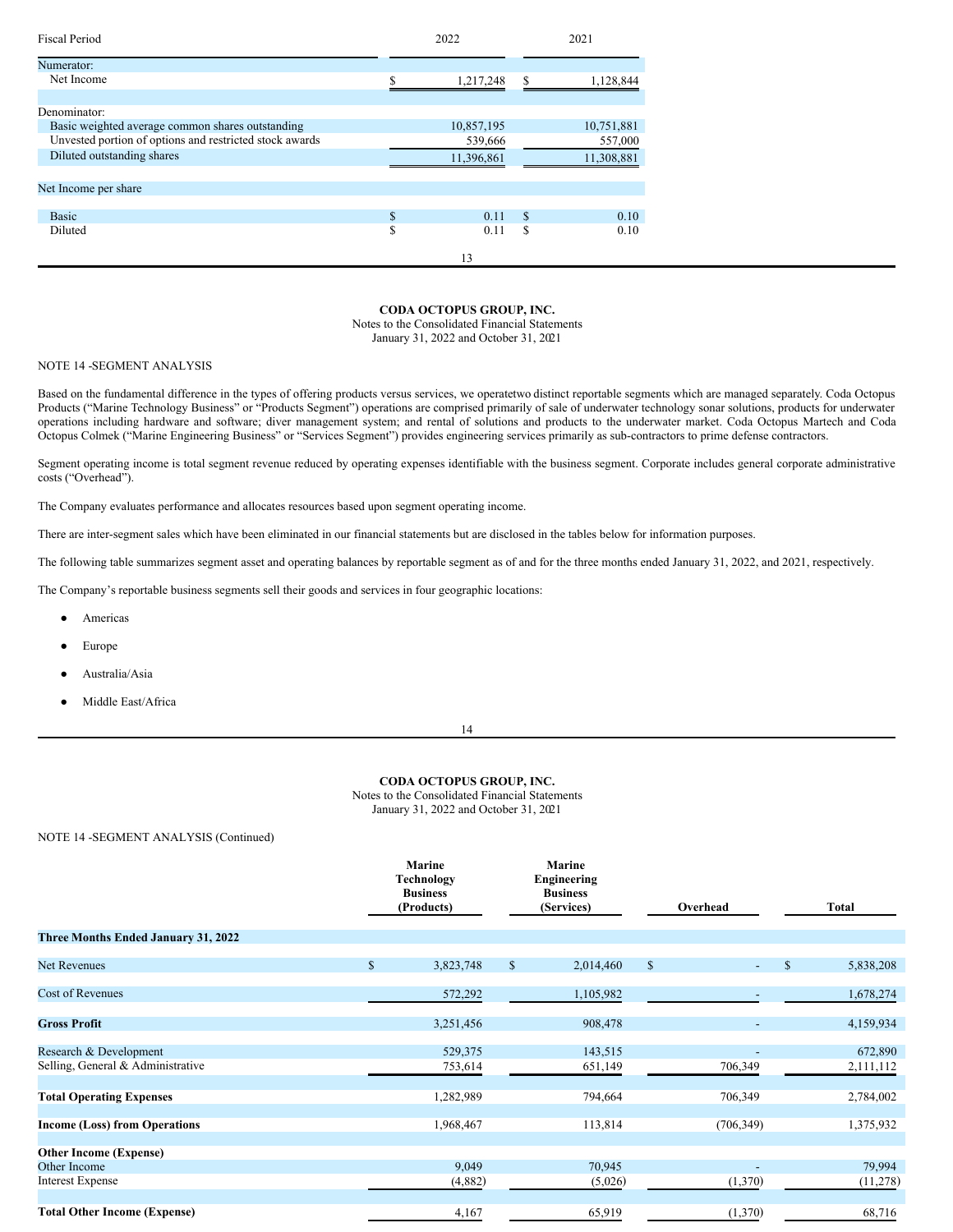| <b>Fiscal Period</b>                                    |    | 2022       |    | 2021       |
|---------------------------------------------------------|----|------------|----|------------|
| Numerator:                                              |    |            |    |            |
| Net Income                                              | S  | 1,217,248  | S  | 1,128,844  |
|                                                         |    |            |    |            |
| Denominator:                                            |    |            |    |            |
| Basic weighted average common shares outstanding        |    | 10,857,195 |    | 10,751,881 |
| Unvested portion of options and restricted stock awards |    | 539,666    |    | 557,000    |
| Diluted outstanding shares                              |    | 11,396,861 |    | 11,308,881 |
|                                                         |    |            |    |            |
| Net Income per share                                    |    |            |    |            |
|                                                         |    |            |    |            |
| <b>Basic</b>                                            | \$ | 0.11       | \$ | 0.10       |
| Diluted                                                 | S  | 0.11       | \$ | 0.10       |
|                                                         |    |            |    |            |
|                                                         |    | 13         |    |            |

# **CODA OCTOPUS GROUP, INC.**

Notes to the Consolidated Financial Statements January 31, 2022 and October 31, 2021

# NOTE 14 -SEGMENT ANALYSIS

Based on the fundamental difference in the types of offering products versus services, we operatetwo distinct reportable segments which are managed separately. Coda Octopus Products ("Marine Technology Business" or "Products Segment") operations are comprised primarily of sale of underwater technology sonar solutions, products for underwater operations including hardware and software; diver management system; and rental of solutions and products to the underwater market. Coda Octopus Martech and Coda Octopus Colmek ("Marine Engineering Business" or "Services Segment") provides engineering services primarily as sub-contractors to prime defense contractors.

Segment operating income is total segment revenue reduced by operating expenses identifiable with the business segment. Corporate includes general corporate administrative costs ("Overhead").

The Company evaluates performance and allocates resources based upon segment operating income.

There are inter-segment sales which have been eliminated in our financial statements but are disclosed in the tables below for information purposes.

The following table summarizes segment asset and operating balances by reportable segment as of and for the three months ended January 31, 2022, and 2021, respectively.

The Company's reportable business segments sell their goods and services in four geographic locations:

- **Americas**
- **Europe**
- Australia/Asia
- Middle East/Africa

14

# **CODA OCTOPUS GROUP, INC.**

Notes to the Consolidated Financial Statements January 31, 2022 and October 31, 2021

# NOTE 14 -SEGMENT ANALYSIS (Continued)

|                                      |              | <b>Marine</b><br>Technology<br><b>Business</b><br>(Products) | <b>Marine</b><br><b>Engineering</b><br><b>Business</b><br>(Services) |           | Overhead      |                          | Total         |           |
|--------------------------------------|--------------|--------------------------------------------------------------|----------------------------------------------------------------------|-----------|---------------|--------------------------|---------------|-----------|
| Three Months Ended January 31, 2022  |              |                                                              |                                                                      |           |               |                          |               |           |
| <b>Net Revenues</b>                  | $\mathbf{s}$ | 3,823,748                                                    | $\mathbb{S}$                                                         | 2,014,460 | $\mathcal{S}$ | $\overline{\phantom{a}}$ | $\mathcal{S}$ | 5,838,208 |
| <b>Cost of Revenues</b>              |              | 572,292                                                      |                                                                      | 1,105,982 |               |                          |               | 1,678,274 |
| <b>Gross Profit</b>                  |              | 3,251,456                                                    |                                                                      | 908,478   |               |                          |               | 4,159,934 |
| Research & Development               |              | 529,375                                                      |                                                                      | 143,515   |               | $\overline{\phantom{a}}$ |               | 672,890   |
| Selling, General & Administrative    |              | 753,614                                                      |                                                                      | 651,149   |               | 706,349                  |               | 2,111,112 |
| <b>Total Operating Expenses</b>      |              | 1,282,989                                                    |                                                                      | 794,664   |               | 706,349                  |               | 2,784,002 |
| <b>Income (Loss) from Operations</b> |              | 1,968,467                                                    |                                                                      | 113,814   |               | (706, 349)               |               | 1,375,932 |
| <b>Other Income (Expense)</b>        |              |                                                              |                                                                      |           |               |                          |               |           |
| Other Income                         |              | 9,049                                                        |                                                                      | 70,945    |               |                          |               | 79,994    |
| <b>Interest Expense</b>              |              | (4,882)                                                      |                                                                      | (5,026)   |               | (1,370)                  |               | (11,278)  |
| <b>Total Other Income (Expense)</b>  |              | 4,167                                                        |                                                                      | 65,919    |               | (1,370)                  |               | 68,716    |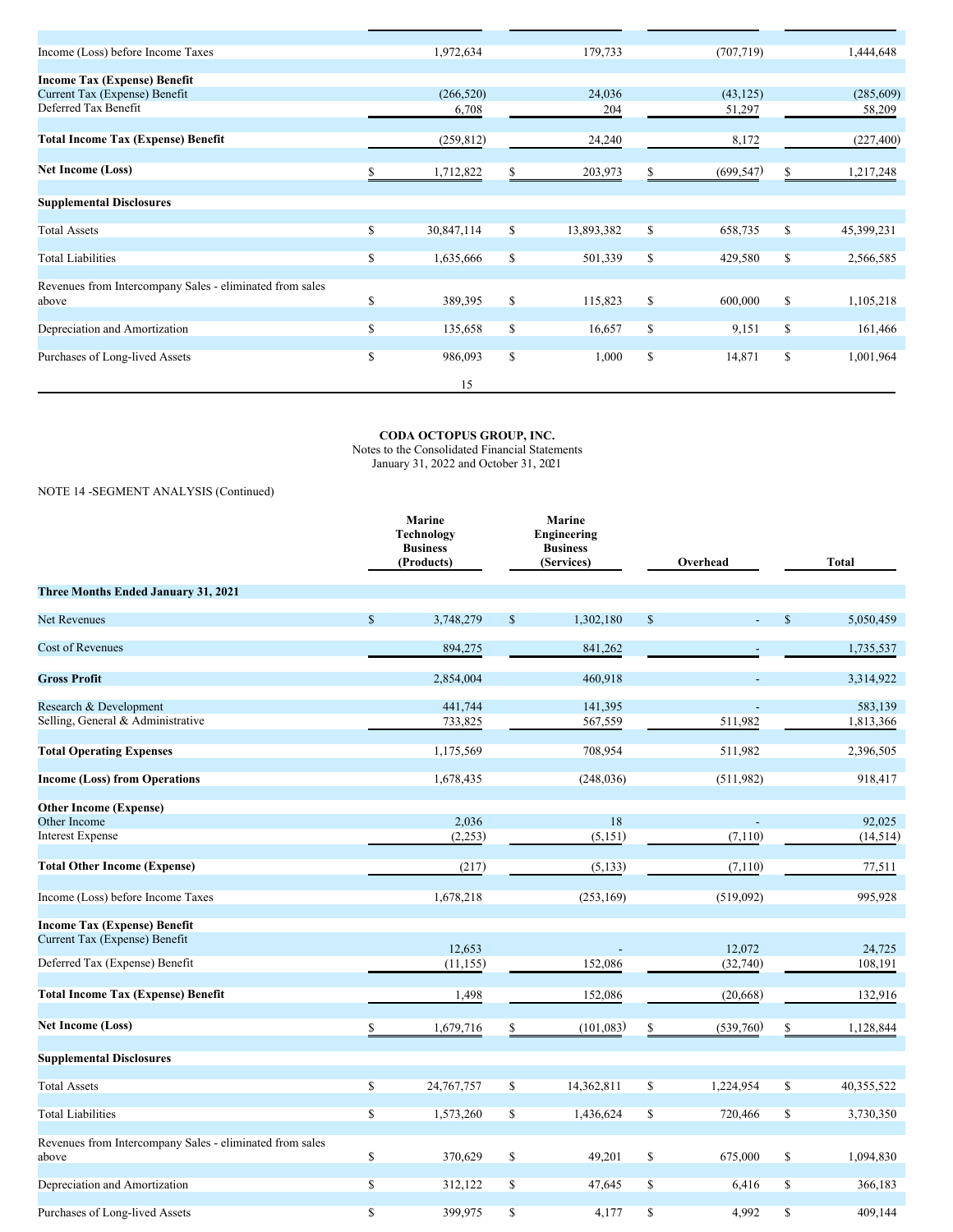| Income (Loss) before Income Taxes                                 |    | 1,972,634  |    | 179,733    | (707, 719)    |    | 1,444,648  |
|-------------------------------------------------------------------|----|------------|----|------------|---------------|----|------------|
|                                                                   |    |            |    |            |               |    |            |
| <b>Income Tax (Expense) Benefit</b>                               |    |            |    |            |               |    |            |
| Current Tax (Expense) Benefit                                     |    | (266, 520) |    | 24,036     | (43, 125)     |    | (285, 609) |
| Deferred Tax Benefit                                              |    | 6,708      |    | 204        | 51,297        |    | 58,209     |
|                                                                   |    |            |    |            |               |    |            |
| <b>Total Income Tax (Expense) Benefit</b>                         |    | (259, 812) |    | 24,240     | 8,172         |    | (227, 400) |
| <b>Net Income (Loss)</b>                                          |    | 1,712,822  | S  | 203,973    | (699, 547)    |    | 1,217,248  |
| <b>Supplemental Disclosures</b>                                   |    |            |    |            |               |    |            |
|                                                                   |    |            |    |            |               |    |            |
| <b>Total Assets</b>                                               | \$ | 30,847,114 | \$ | 13,893,382 | \$<br>658,735 | \$ | 45,399,231 |
| <b>Total Liabilities</b>                                          | \$ | 1,635,666  | \$ | 501,339    | \$<br>429,580 | S  | 2,566,585  |
|                                                                   |    |            |    |            |               |    |            |
| Revenues from Intercompany Sales - eliminated from sales<br>above | \$ | 389,395    | \$ | 115,823    | \$<br>600,000 | \$ | 1,105,218  |
|                                                                   |    |            |    |            |               |    |            |
| Depreciation and Amortization                                     | S  | 135,658    | \$ | 16,657     | \$<br>9,151   | \$ | 161,466    |
| Purchases of Long-lived Assets                                    | S  | 986,093    | \$ | 1,000      | \$<br>14,871  | \$ | 1,001,964  |
|                                                                   |    | 15         |    |            |               |    |            |

# **CODA OCTOPUS GROUP, INC.**

Notes to the Consolidated Financial Statements

January 31, 2022 and October 31, 2021

NOTE 14 -SEGMENT ANALYSIS (Continued)

|                                                                          |             | Marine<br><b>Technology</b><br><b>Business</b><br>(Products) |             | Marine<br><b>Engineering</b><br><b>Business</b><br>(Services) |              | Overhead  |              | <b>Total</b>         |  |  |  |
|--------------------------------------------------------------------------|-------------|--------------------------------------------------------------|-------------|---------------------------------------------------------------|--------------|-----------|--------------|----------------------|--|--|--|
| Three Months Ended January 31, 2021                                      |             |                                                              |             |                                                               |              |           |              |                      |  |  |  |
| <b>Net Revenues</b>                                                      | $\mathbf S$ | 3,748,279                                                    | $\mathbf S$ | 1,302,180                                                     | $\mathbb{S}$ |           | $\mathbf{s}$ | 5,050,459            |  |  |  |
| <b>Cost of Revenues</b>                                                  |             | 894,275                                                      |             | 841,262                                                       |              |           |              | 1,735,537            |  |  |  |
| <b>Gross Profit</b>                                                      |             | 2,854,004                                                    |             | 460,918                                                       |              |           |              | 3,314,922            |  |  |  |
| Research & Development<br>Selling, General & Administrative              |             | 441,744<br>733,825                                           |             | 141,395<br>567,559                                            |              | 511,982   |              | 583,139<br>1,813,366 |  |  |  |
| <b>Total Operating Expenses</b>                                          |             | 1,175,569                                                    |             | 708,954                                                       |              | 511,982   |              | 2,396,505            |  |  |  |
| <b>Income (Loss) from Operations</b>                                     |             | 1,678,435                                                    |             | (248, 036)                                                    |              | (511,982) |              | 918,417              |  |  |  |
| <b>Other Income (Expense)</b><br>Other Income<br><b>Interest Expense</b> |             | 2,036<br>(2,253)                                             |             | 18<br>(5,151)                                                 |              | (7,110)   |              | 92,025<br>(14, 514)  |  |  |  |
| <b>Total Other Income (Expense)</b>                                      |             | (217)                                                        |             | (5, 133)                                                      |              | (7,110)   |              | 77,511               |  |  |  |
| Income (Loss) before Income Taxes                                        |             | 1,678,218                                                    |             | (253, 169)                                                    |              | (519,092) |              | 995,928              |  |  |  |
| <b>Income Tax (Expense) Benefit</b>                                      |             |                                                              |             |                                                               |              |           |              |                      |  |  |  |
| Current Tax (Expense) Benefit                                            |             | 12,653                                                       |             |                                                               |              | 12,072    |              | 24,725               |  |  |  |
| Deferred Tax (Expense) Benefit                                           |             | (11, 155)                                                    |             | 152,086                                                       |              | (32,740)  |              | 108,191              |  |  |  |
| <b>Total Income Tax (Expense) Benefit</b>                                |             | 1,498                                                        |             | 152,086                                                       |              | (20, 668) |              | 132,916              |  |  |  |
| <b>Net Income (Loss)</b>                                                 |             | 1,679,716                                                    |             | (101, 083)                                                    |              | (539,760) |              | 1,128,844            |  |  |  |
| <b>Supplemental Disclosures</b>                                          |             |                                                              |             |                                                               |              |           |              |                      |  |  |  |
| <b>Total Assets</b>                                                      | $\mathbb S$ | 24,767,757                                                   | \$          | 14,362,811                                                    | \$           | 1,224,954 | \$           | 40,355,522           |  |  |  |
| <b>Total Liabilities</b>                                                 | \$          | 1,573,260                                                    | \$          | 1,436,624                                                     | \$           | 720,466   | \$           | 3,730,350            |  |  |  |
| Revenues from Intercompany Sales - eliminated from sales<br>above        | $\mathbb S$ | 370,629                                                      | \$          | 49,201                                                        | \$           | 675,000   | \$           | 1,094,830            |  |  |  |
| Depreciation and Amortization                                            | \$          | 312,122                                                      | \$          | 47,645                                                        | \$           | 6,416     | \$           | 366,183              |  |  |  |
| Purchases of Long-lived Assets                                           | \$          | 399,975                                                      | \$          | 4,177                                                         | \$           | 4,992     | \$           | 409,144              |  |  |  |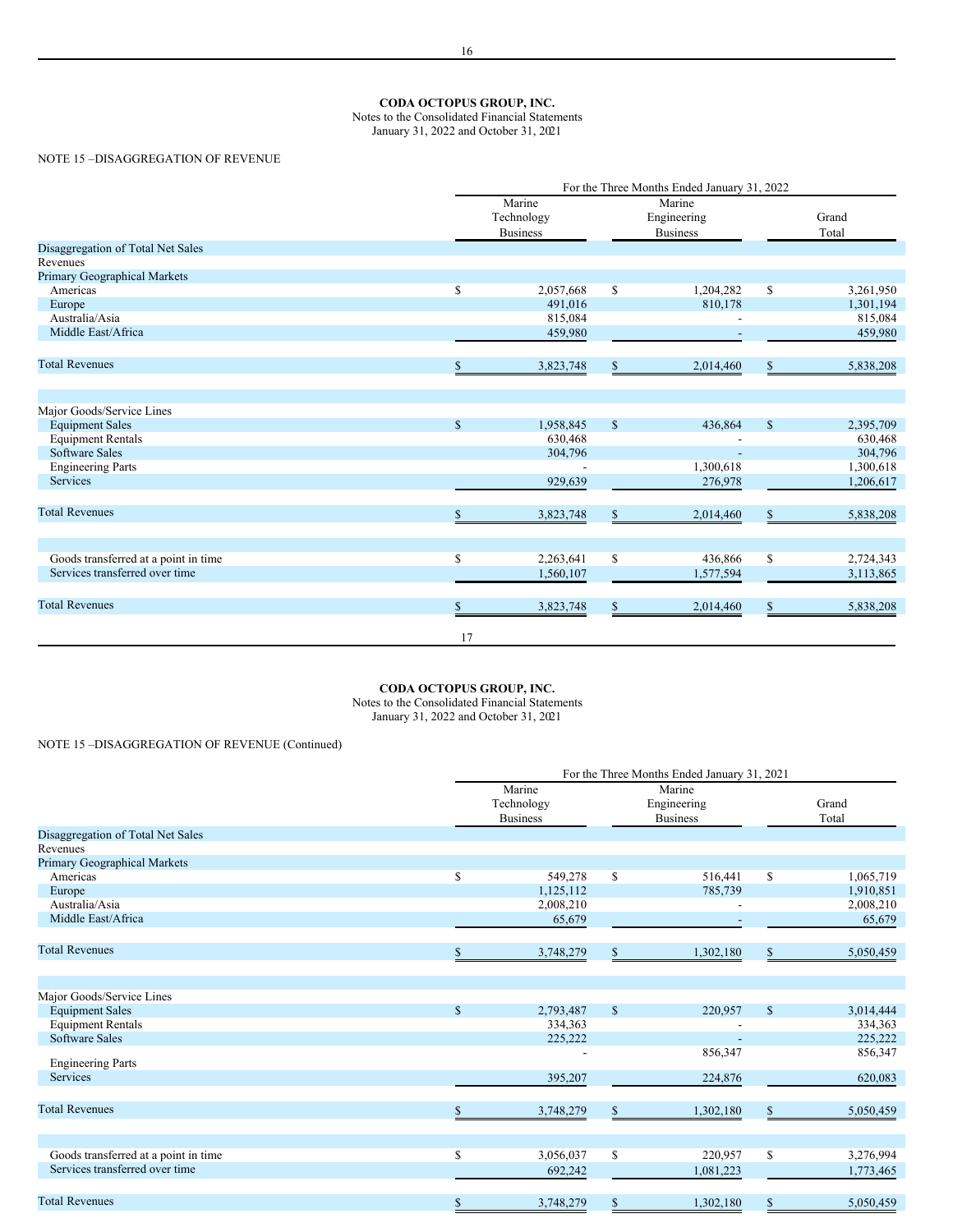Notes to the Consolidated Financial Statements January 31, 2022 and October 31, 2021

NOTE 15 –DISAGGREGATION OF REVENUE

|                                                                        | For the Three Months Ended January 31, 2022 |                                         |              |                                          |               |                |  |
|------------------------------------------------------------------------|---------------------------------------------|-----------------------------------------|--------------|------------------------------------------|---------------|----------------|--|
|                                                                        |                                             | Marine<br>Technology<br><b>Business</b> |              | Marine<br>Engineering<br><b>Business</b> |               | Grand<br>Total |  |
| Disaggregation of Total Net Sales                                      |                                             |                                         |              |                                          |               |                |  |
| Revenues                                                               |                                             |                                         |              |                                          |               |                |  |
| <b>Primary Geographical Markets</b>                                    |                                             |                                         |              |                                          |               |                |  |
| Americas                                                               | \$                                          | 2,057,668                               | \$           | 1,204,282                                | \$            | 3,261,950      |  |
| Europe                                                                 |                                             | 491,016                                 |              | 810,178                                  |               | 1,301,194      |  |
| Australia/Asia                                                         |                                             | 815,084                                 |              |                                          |               | 815,084        |  |
| Middle East/Africa                                                     |                                             | 459,980                                 |              |                                          |               | 459,980        |  |
| <b>Total Revenues</b>                                                  | \$                                          | 3,823,748                               | \$           | 2,014,460                                | \$            | 5,838,208      |  |
| Major Goods/Service Lines                                              |                                             |                                         |              |                                          |               |                |  |
| <b>Equipment Sales</b>                                                 | $\mathbb{S}$                                | 1,958,845                               | $\mathbb{S}$ | 436,864                                  | $\mathsf{\$}$ | 2,395,709      |  |
| <b>Equipment Rentals</b>                                               |                                             | 630,468                                 |              |                                          |               | 630,468        |  |
| <b>Software Sales</b>                                                  |                                             | 304,796                                 |              |                                          |               | 304,796        |  |
| <b>Engineering Parts</b>                                               |                                             |                                         |              | 1,300,618                                |               | 1,300,618      |  |
| Services                                                               |                                             | 929,639                                 |              | 276,978                                  |               | 1,206,617      |  |
| <b>Total Revenues</b>                                                  | \$                                          | 3,823,748                               | \$           | 2,014,460                                | <sup>\$</sup> | 5,838,208      |  |
|                                                                        |                                             |                                         |              |                                          |               |                |  |
| Goods transferred at a point in time<br>Services transferred over time | \$                                          | 2,263,641                               | \$           | 436,866                                  | \$            | 2,724,343      |  |
|                                                                        |                                             | 1,560,107                               |              | 1,577,594                                |               | 3,113,865      |  |
| <b>Total Revenues</b>                                                  | $\mathbb{S}$                                | 3,823,748                               | $\mathbb{S}$ | 2,014,460                                | <sup>\$</sup> | 5,838,208      |  |
|                                                                        | 17                                          |                                         |              |                                          |               |                |  |

# **CODA OCTOPUS GROUP, INC.**

Notes to the Consolidated Financial Statements January 31, 2022 and October 31, 2021

NOTE 15 –DISAGGREGATION OF REVENUE (Continued)

|                                      | For the Three Months Ended January 31, 2021 |           |              |                                          |              |                |
|--------------------------------------|---------------------------------------------|-----------|--------------|------------------------------------------|--------------|----------------|
|                                      | Marine<br>Technology<br><b>Business</b>     |           |              | Marine<br>Engineering<br><b>Business</b> |              | Grand<br>Total |
| Disaggregation of Total Net Sales    |                                             |           |              |                                          |              |                |
| Revenues                             |                                             |           |              |                                          |              |                |
| Primary Geographical Markets         |                                             |           |              |                                          |              |                |
| Americas                             | \$                                          | 549,278   | \$           | 516,441                                  | \$           | 1,065,719      |
| Europe                               |                                             | 1,125,112 |              | 785,739                                  |              | 1,910,851      |
| Australia/Asia                       |                                             | 2,008,210 |              |                                          |              | 2,008,210      |
| Middle East/Africa                   |                                             | 65,679    |              |                                          |              | 65,679         |
| <b>Total Revenues</b>                | \$                                          | 3,748,279 | \$           | 1,302,180                                | \$           | 5,050,459      |
| Major Goods/Service Lines            |                                             |           |              |                                          |              |                |
| <b>Equipment Sales</b>               | $\mathbb{S}$                                | 2,793,487 | $\mathbb{S}$ | 220,957                                  | $\mathbb{S}$ | 3,014,444      |
| <b>Equipment Rentals</b>             |                                             | 334,363   |              |                                          |              | 334,363        |
| <b>Software Sales</b>                |                                             | 225,222   |              |                                          |              | 225,222        |
|                                      |                                             |           |              | 856,347                                  |              | 856,347        |
| <b>Engineering Parts</b>             |                                             |           |              |                                          |              |                |
| Services                             |                                             | 395,207   |              | 224,876                                  |              | 620,083        |
| <b>Total Revenues</b>                | S                                           | 3,748,279 |              | 1,302,180                                | \$           | 5,050,459      |
|                                      |                                             |           |              |                                          |              |                |
| Goods transferred at a point in time | \$                                          | 3,056,037 | \$           | 220,957                                  | \$           | 3,276,994      |
| Services transferred over time       |                                             | 692,242   |              | 1,081,223                                |              | 1,773,465      |
| <b>Total Revenues</b>                | \$                                          | 3,748,279 | \$           | 1,302,180                                | \$           | 5,050,459      |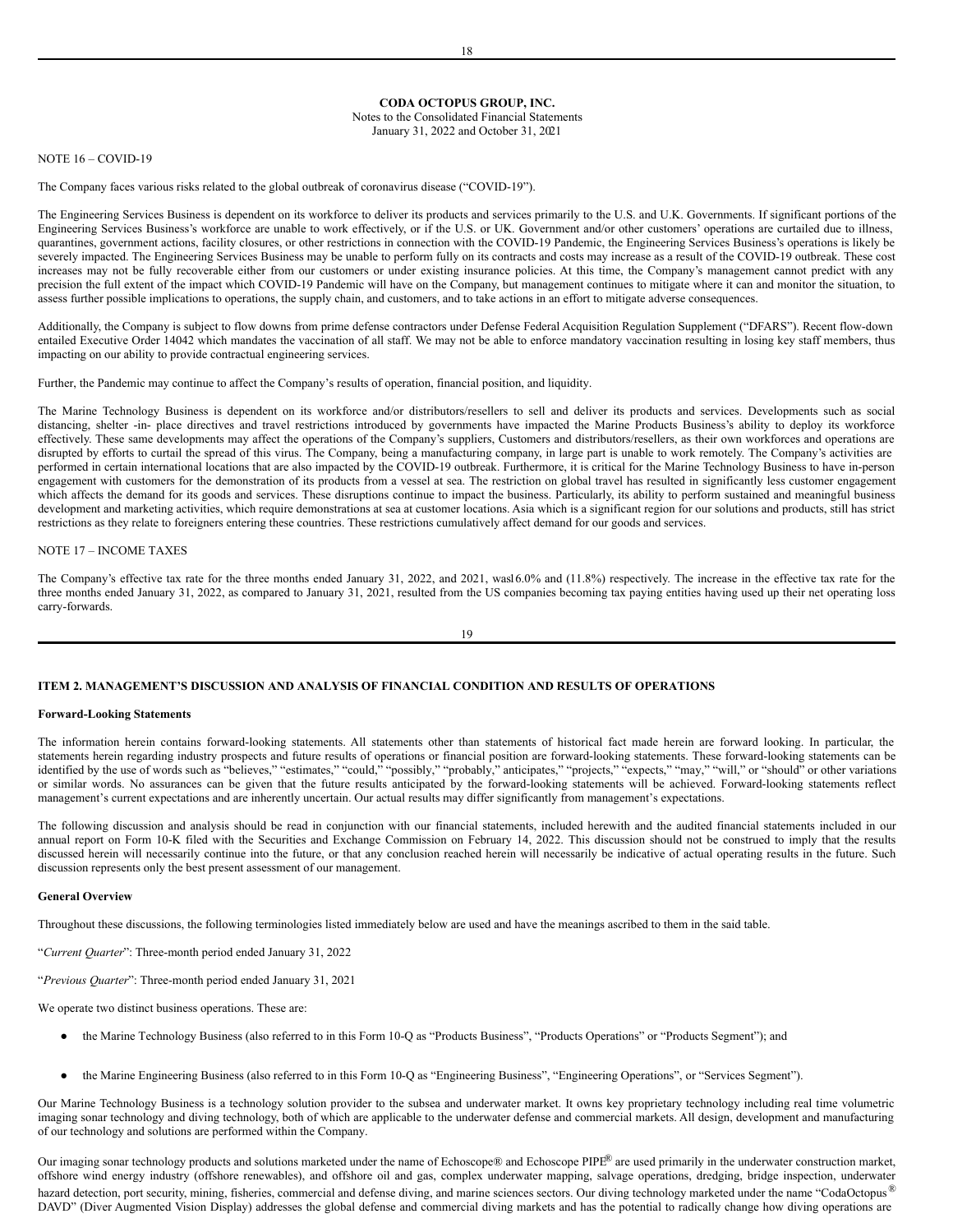# **CODA OCTOPUS GROUP, INC.**

Notes to the Consolidated Financial Statements January 31, 2022 and October 31, 2021

#### NOTE 16 – COVID-19

The Company faces various risks related to the global outbreak of coronavirus disease ("COVID-19").

The Engineering Services Business is dependent on its workforce to deliver its products and services primarily to the U.S. and U.K. Governments. If significant portions of the Engineering Services Business's workforce are unable to work effectively, or if the U.S. or UK. Government and/or other customers' operations are curtailed due to illness, quarantines, government actions, facility closures, or other restrictions in connection with the COVID-19 Pandemic, the Engineering Services Business's operations is likely be severely impacted. The Engineering Services Business may be unable to perform fully on its contracts and costs may increase as a result of the COVID-19 outbreak. These cost increases may not be fully recoverable either from our customers or under existing insurance policies. At this time, the Company's management cannot predict with any precision the full extent of the impact which COVID-19 Pandemic will have on the Company, but management continues to mitigate where it can and monitor the situation, to assess further possible implications to operations, the supply chain, and customers, and to take actions in an effort to mitigate adverse consequences.

Additionally, the Company is subject to flow downs from prime defense contractors under Defense Federal Acquisition Regulation Supplement ("DFARS"). Recent flow-down entailed Executive Order 14042 which mandates the vaccination of all staff. We may not be able to enforce mandatory vaccination resulting in losing key staff members, thus impacting on our ability to provide contractual engineering services.

Further, the Pandemic may continue to affect the Company's results of operation, financial position, and liquidity.

The Marine Technology Business is dependent on its workforce and/or distributors/resellers to sell and deliver its products and services. Developments such as social distancing, shelter -in- place directives and travel restrictions introduced by governments have impacted the Marine Products Business's ability to deploy its workforce effectively. These same developments may affect the operations of the Company's suppliers, Customers and distributors/resellers, as their own workforces and operations are disrupted by efforts to curtail the spread of this virus. The Company, being a manufacturing company, in large part is unable to work remotely. The Company's activities are performed in certain international locations that are also impacted by the COVID-19 outbreak. Furthermore, it is critical for the Marine Technology Business to have in-person engagement with customers for the demonstration of its products from a vessel at sea. The restriction on global travel has resulted in significantly less customer engagement which affects the demand for its goods and services. These disruptions continue to impact the business. Particularly, its ability to perform sustained and meaningful business development and marketing activities, which require demonstrations at sea at customer locations. Asia which is a significant region for our solutions and products, still has strict restrictions as they relate to foreigners entering these countries. These restrictions cumulatively affect demand for our goods and services.

#### NOTE 17 – INCOME TAXES

The Company's effective tax rate for the three months ended January 31, 2022, and 2021, was16.0% and (11.8%) respectively. The increase in the effective tax rate for the three months ended January 31, 2022, as compared to January 31, 2021, resulted from the US companies becoming tax paying entities having used up their net operating loss carry-forwards.

19

#### **ITEM 2. MANAGEMENT'S DISCUSSION AND ANALYSIS OF FINANCIAL CONDITION AND RESULTS OF OPERATIONS**

#### **Forward-Looking Statements**

The information herein contains forward-looking statements. All statements other than statements of historical fact made herein are forward looking. In particular, the statements herein regarding industry prospects and future results of operations or financial position are forward-looking statements. These forward-looking statements can be identified by the use of words such as "believes," "estimates," "could," "possibly," "probably," anticipates," "projects," "expects," "may," "will," or "should" or other variations or similar words. No assurances can be given that the future results anticipated by the forward-looking statements will be achieved. Forward-looking statements reflect management's current expectations and are inherently uncertain. Our actual results may differ significantly from management's expectations.

The following discussion and analysis should be read in conjunction with our financial statements, included herewith and the audited financial statements included in our annual report on Form 10-K filed with the Securities and Exchange Commission on February 14, 2022. This discussion should not be construed to imply that the results discussed herein will necessarily continue into the future, or that any conclusion reached herein will necessarily be indicative of actual operating results in the future. Such discussion represents only the best present assessment of our management.

# **General Overview**

Throughout these discussions, the following terminologies listed immediately below are used and have the meanings ascribed to them in the said table.

"*Current Quarter*": Three-month period ended January 31, 2022

"*Previous Quarter*": Three-month period ended January 31, 2021

We operate two distinct business operations. These are:

- the Marine Technology Business (also referred to in this Form 10-Q as "Products Business", "Products Operations" or "Products Segment"); and
- the Marine Engineering Business (also referred to in this Form 10-Q as "Engineering Business", "Engineering Operations", or "Services Segment").

Our Marine Technology Business is a technology solution provider to the subsea and underwater market. It owns key proprietary technology including real time volumetric imaging sonar technology and diving technology, both of which are applicable to the underwater defense and commercial markets. All design, development and manufacturing of our technology and solutions are performed within the Company.

Our imaging sonar technology products and solutions marketed under the name of Echoscope® and Echoscope PIPE® are used primarily in the underwater construction market, offshore wind energy industry (offshore renewables), and offshore oil and gas, complex underwater mapping, salvage operations, dredging, bridge inspection, underwater hazard detection, port security, mining, fisheries, commercial and defense diving, and marine sciences sectors. Our diving technology marketed under the name "CodaOctopus<sup>®</sup> DAVD" (Diver Augmented Vision Display) addresses the global defense and commercial diving markets and has the potential to radically change how diving operations are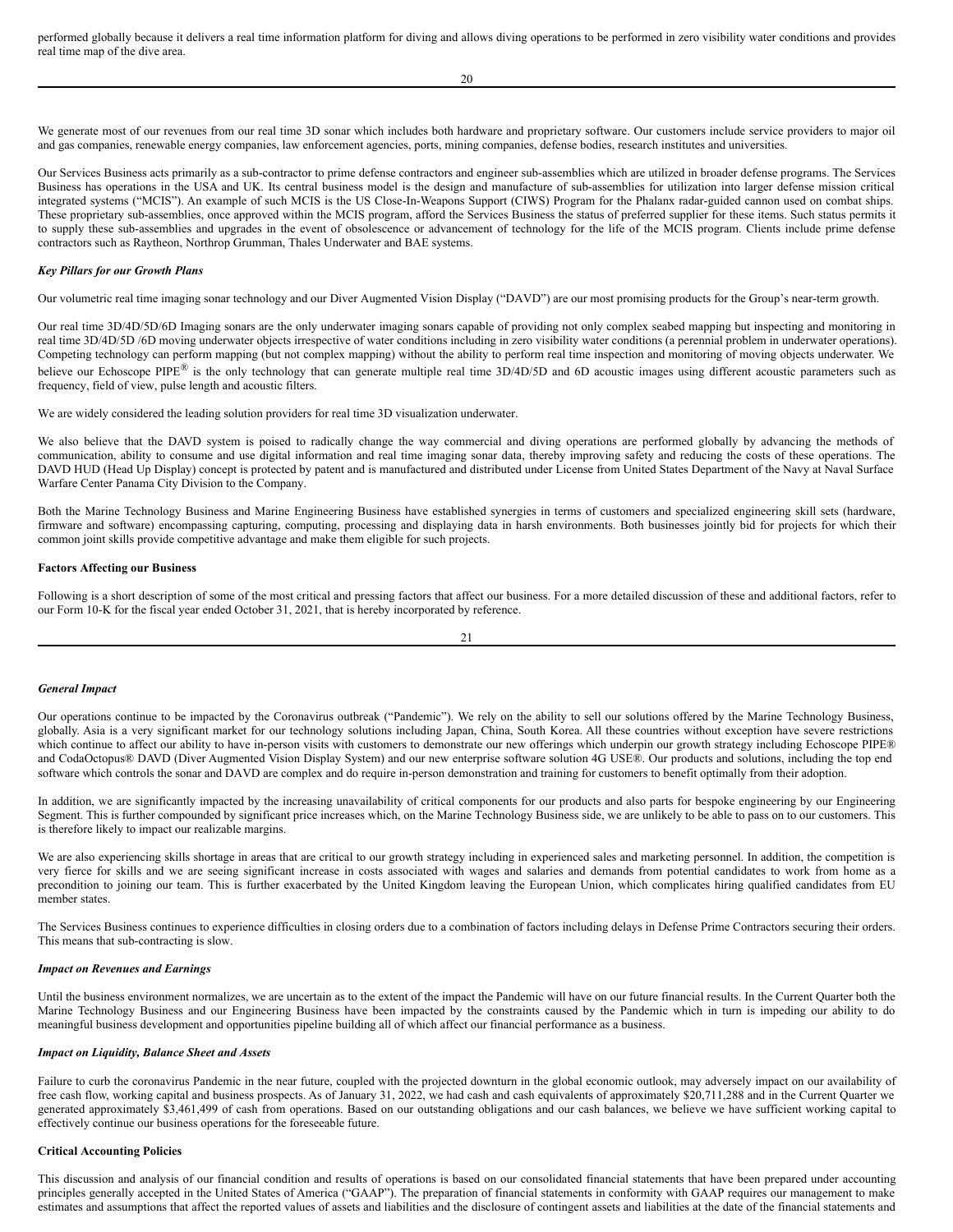performed globally because it delivers a real time information platform for diving and allows diving operations to be performed in zero visibility water conditions and provides real time map of the dive area.

20

We generate most of our revenues from our real time 3D sonar which includes both hardware and proprietary software. Our customers include service providers to major oil and gas companies, renewable energy companies, law enforcement agencies, ports, mining companies, defense bodies, research institutes and universities.

Our Services Business acts primarily as a sub-contractor to prime defense contractors and engineer sub-assemblies which are utilized in broader defense programs. The Services Business has operations in the USA and UK. Its central business model is the design and manufacture of sub-assemblies for utilization into larger defense mission critical integrated systems ("MCIS"). An example of such MCIS is the US Close-In-Weapons Support (CIWS) Program for the Phalanx radar-guided cannon used on combat ships. These proprietary sub-assemblies, once approved within the MCIS program, afford the Services Business the status of preferred supplier for these items. Such status permits it to supply these sub-assemblies and upgrades in the event of obsolescence or advancement of technology for the life of the MCIS program. Clients include prime defense contractors such as Raytheon, Northrop Grumman, Thales Underwater and BAE systems.

# *Key Pillars for our Growth Plans*

Our volumetric real time imaging sonar technology and our Diver Augmented Vision Display ("DAVD") are our most promising products for the Group's near-term growth.

Our real time 3D/4D/5D/6D Imaging sonars are the only underwater imaging sonars capable of providing not only complex seabed mapping but inspecting and monitoring in real time 3D/4D/5D /6D moving underwater objects irrespective of water conditions including in zero visibility water conditions (a perennial problem in underwater operations). Competing technology can perform mapping (but not complex mapping) without the ability to perform real time inspection and monitoring of moving objects underwater. We believe our Echoscope PIPE<sup>®</sup> is the only technology that can generate multiple real time  $3D/4D/5D$  and 6D acoustic images using different acoustic parameters such as frequency, field of view, pulse length and acoustic filters.

We are widely considered the leading solution providers for real time 3D visualization underwater.

We also believe that the DAVD system is poised to radically change the way commercial and diving operations are performed globally by advancing the methods of communication, ability to consume and use digital information and real time imaging sonar data, thereby improving safety and reducing the costs of these operations. The DAVD HUD (Head Up Display) concept is protected by patent and is manufactured and distributed under License from United States Department of the Navy at Naval Surface Warfare Center Panama City Division to the Company.

Both the Marine Technology Business and Marine Engineering Business have established synergies in terms of customers and specialized engineering skill sets (hardware, firmware and software) encompassing capturing, computing, processing and displaying data in harsh environments. Both businesses jointly bid for projects for which their common joint skills provide competitive advantage and make them eligible for such projects.

# **Factors Affecting our Business**

Following is a short description of some of the most critical and pressing factors that affect our business. For a more detailed discussion of these and additional factors, refer to our Form 10-K for the fiscal year ended October 31, 2021, that is hereby incorporated by reference.

| × |  |
|---|--|
|   |  |

#### *General Impact*

Our operations continue to be impacted by the Coronavirus outbreak ("Pandemic"). We rely on the ability to sell our solutions offered by the Marine Technology Business, globally. Asia is a very significant market for our technology solutions including Japan, China, South Korea. All these countries without exception have severe restrictions which continue to affect our ability to have in-person visits with customers to demonstrate our new offerings which underpin our growth strategy including Echoscope PIPE® and CodaOctopus® DAVD (Diver Augmented Vision Display System) and our new enterprise software solution 4G USE®. Our products and solutions, including the top end software which controls the sonar and DAVD are complex and do require in-person demonstration and training for customers to benefit optimally from their adoption.

In addition, we are significantly impacted by the increasing unavailability of critical components for our products and also parts for bespoke engineering by our Engineering Segment. This is further compounded by significant price increases which, on the Marine Technology Business side, we are unlikely to be able to pass on to our customers. This is therefore likely to impact our realizable margins.

We are also experiencing skills shortage in areas that are critical to our growth strategy including in experienced sales and marketing personnel. In addition, the competition is very fierce for skills and we are seeing significant increase in costs associated with wages and salaries and demands from potential candidates to work from home as a precondition to joining our team. This is further exacerbated by the United Kingdom leaving the European Union, which complicates hiring qualified candidates from EU member states.

The Services Business continues to experience difficulties in closing orders due to a combination of factors including delays in Defense Prime Contractors securing their orders. This means that sub-contracting is slow.

# *Impact on Revenues and Earnings*

Until the business environment normalizes, we are uncertain as to the extent of the impact the Pandemic will have on our future financial results. In the Current Quarter both the Marine Technology Business and our Engineering Business have been impacted by the constraints caused by the Pandemic which in turn is impeding our ability to do meaningful business development and opportunities pipeline building all of which affect our financial performance as a business.

#### *Impact on Liquidity, Balance Sheet and Assets*

Failure to curb the coronavirus Pandemic in the near future, coupled with the projected downturn in the global economic outlook, may adversely impact on our availability of free cash flow, working capital and business prospects. As of January 31, 2022, we had cash and cash equivalents of approximately \$20,711,288 and in the Current Quarter we generated approximately \$3,461,499 of cash from operations. Based on our outstanding obligations and our cash balances, we believe we have sufficient working capital to effectively continue our business operations for the foreseeable future.

#### **Critical Accounting Policies**

This discussion and analysis of our financial condition and results of operations is based on our consolidated financial statements that have been prepared under accounting principles generally accepted in the United States of America ("GAAP"). The preparation of financial statements in conformity with GAAP requires our management to make estimates and assumptions that affect the reported values of assets and liabilities and the disclosure of contingent assets and liabilities at the date of the financial statements and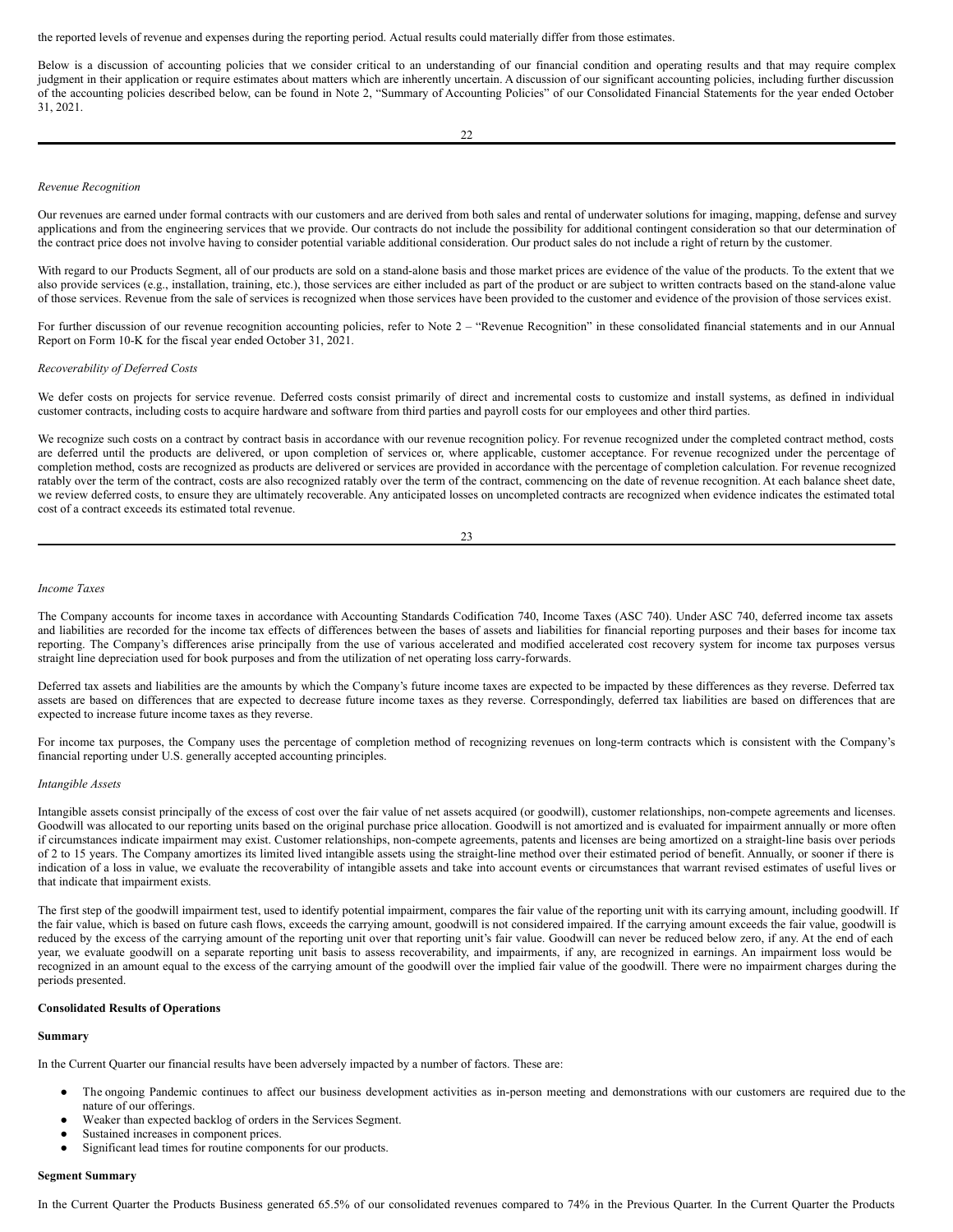the reported levels of revenue and expenses during the reporting period. Actual results could materially differ from those estimates.

Below is a discussion of accounting policies that we consider critical to an understanding of our financial condition and operating results and that may require complex judgment in their application or require estimates about matters which are inherently uncertain. A discussion of our significant accounting policies, including further discussion of the accounting policies described below, can be found in Note 2, "Summary of Accounting Policies" of our Consolidated Financial Statements for the year ended October 31, 2021.

22

#### *Revenue Recognition*

Our revenues are earned under formal contracts with our customers and are derived from both sales and rental of underwater solutions for imaging, mapping, defense and survey applications and from the engineering services that we provide. Our contracts do not include the possibility for additional contingent consideration so that our determination of the contract price does not involve having to consider potential variable additional consideration. Our product sales do not include a right of return by the customer.

With regard to our Products Segment, all of our products are sold on a stand-alone basis and those market prices are evidence of the value of the products. To the extent that we also provide services (e.g., installation, training, etc.), those services are either included as part of the product or are subject to written contracts based on the stand-alone value of those services. Revenue from the sale of services is recognized when those services have been provided to the customer and evidence of the provision of those services exist.

For further discussion of our revenue recognition accounting policies, refer to Note 2 - "Revenue Recognition" in these consolidated financial statements and in our Annual Report on Form 10-K for the fiscal year ended October 31, 2021.

#### *Recoverability of Deferred Costs*

We defer costs on projects for service revenue. Deferred costs consist primarily of direct and incremental costs to customize and install systems, as defined in individual customer contracts, including costs to acquire hardware and software from third parties and payroll costs for our employees and other third parties.

We recognize such costs on a contract by contract basis in accordance with our revenue recognition policy. For revenue recognized under the completed contract method, costs are deferred until the products are delivered, or upon completion of services or, where applicable, customer acceptance. For revenue recognized under the percentage of completion method, costs are recognized as products are delivered or services are provided in accordance with the percentage of completion calculation. For revenue recognized ratably over the term of the contract, costs are also recognized ratably over the term of the contract, commencing on the date of revenue recognition. At each balance sheet date, we review deferred costs, to ensure they are ultimately recoverable. Any anticipated losses on uncompleted contracts are recognized when evidence indicates the estimated total cost of a contract exceeds its estimated total revenue.

23

#### *Income Taxes*

The Company accounts for income taxes in accordance with Accounting Standards Codification 740, Income Taxes (ASC 740). Under ASC 740, deferred income tax assets and liabilities are recorded for the income tax effects of differences between the bases of assets and liabilities for financial reporting purposes and their bases for income tax reporting. The Company's differences arise principally from the use of various accelerated and modified accelerated cost recovery system for income tax purposes versus straight line depreciation used for book purposes and from the utilization of net operating loss carry-forwards.

Deferred tax assets and liabilities are the amounts by which the Company's future income taxes are expected to be impacted by these differences as they reverse. Deferred tax assets are based on differences that are expected to decrease future income taxes as they reverse. Correspondingly, deferred tax liabilities are based on differences that are expected to increase future income taxes as they reverse.

For income tax purposes, the Company uses the percentage of completion method of recognizing revenues on long-term contracts which is consistent with the Company's financial reporting under U.S. generally accepted accounting principles.

#### *Intangible Assets*

Intangible assets consist principally of the excess of cost over the fair value of net assets acquired (or goodwill), customer relationships, non-compete agreements and licenses. Goodwill was allocated to our reporting units based on the original purchase price allocation. Goodwill is not amortized and is evaluated for impairment annually or more often if circumstances indicate impairment may exist. Customer relationships, non-compete agreements, patents and licenses are being amortized on a straight-line basis over periods of 2 to 15 years. The Company amortizes its limited lived intangible assets using the straight-line method over their estimated period of benefit. Annually, or sooner if there is indication of a loss in value, we evaluate the recoverability of intangible assets and take into account events or circumstances that warrant revised estimates of useful lives or that indicate that impairment exists.

The first step of the goodwill impairment test, used to identify potential impairment, compares the fair value of the reporting unit with its carrying amount, including goodwill. If the fair value, which is based on future cash flows, exceeds the carrying amount, goodwill is not considered impaired. If the carrying amount exceeds the fair value, goodwill is reduced by the excess of the carrying amount of the reporting unit over that reporting unit's fair value. Goodwill can never be reduced below zero, if any. At the end of each year, we evaluate goodwill on a separate reporting unit basis to assess recoverability, and impairments, if any, are recognized in earnings. An impairment loss would be recognized in an amount equal to the excess of the carrying amount of the goodwill over the implied fair value of the goodwill. There were no impairment charges during the periods presented.

#### **Consolidated Results of Operations**

#### **Summary**

In the Current Quarter our financial results have been adversely impacted by a number of factors. These are:

- The ongoing Pandemic continues to affect our business development activities as in-person meeting and demonstrations with our customers are required due to the nature of our offerings.
- Weaker than expected backlog of orders in the Services Segment.
- Sustained increases in component prices.
- Significant lead times for routine components for our products.

### **Segment Summary**

In the Current Quarter the Products Business generated 65.5% of our consolidated revenues compared to 74% in the Previous Quarter. In the Current Quarter the Products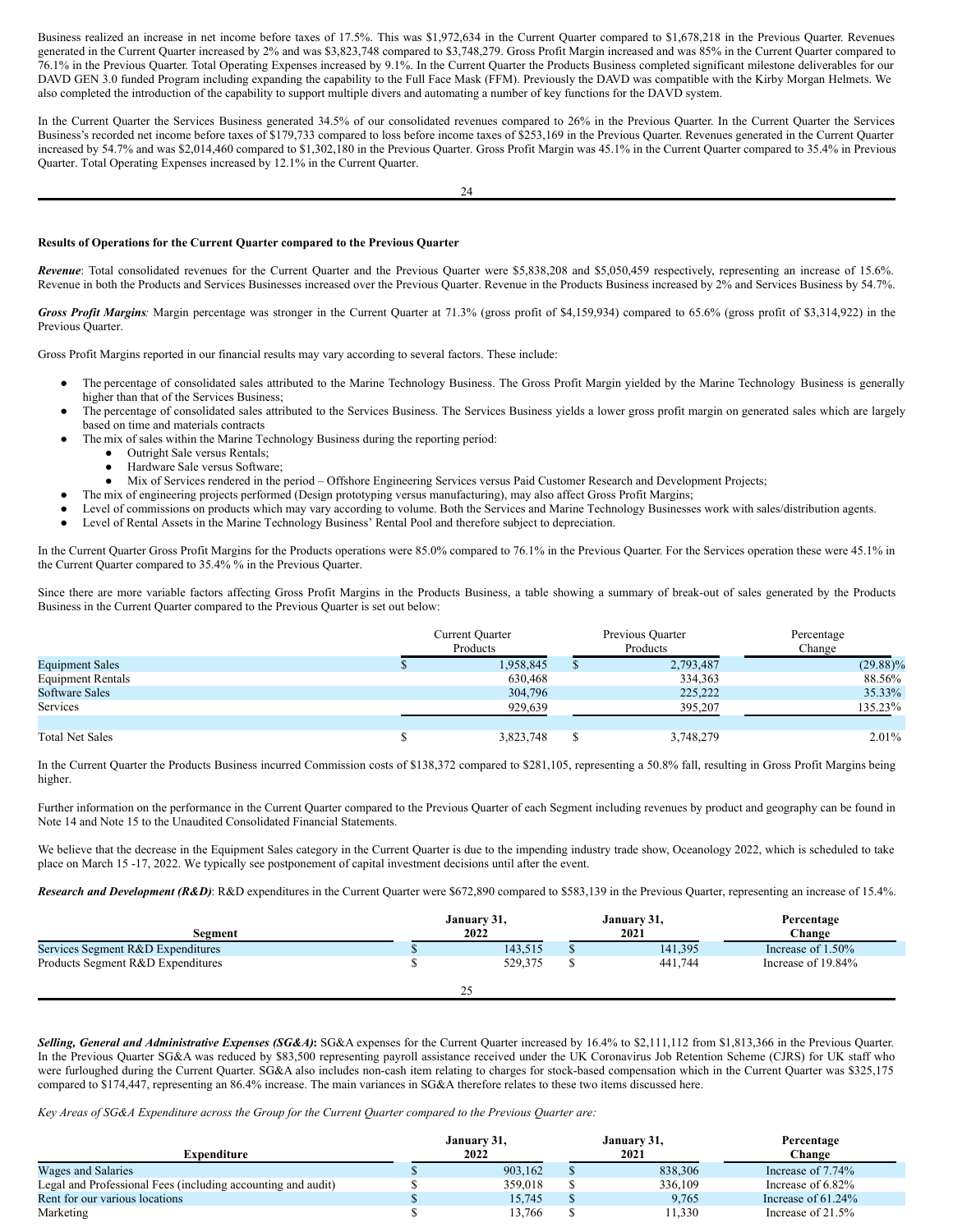Business realized an increase in net income before taxes of 17.5%. This was \$1,972,634 in the Current Quarter compared to \$1,678,218 in the Previous Quarter. Revenues generated in the Current Quarter increased by 2% and was \$3,823,748 compared to \$3,748,279. Gross Profit Margin increased and was 85% in the Current Quarter compared to 76.1% in the Previous Quarter. Total Operating Expenses increased by 9.1%. In the Current Quarter the Products Business completed significant milestone deliverables for our DAVD GEN 3.0 funded Program including expanding the capability to the Full Face Mask (FFM). Previously the DAVD was compatible with the Kirby Morgan Helmets. We also completed the introduction of the capability to support multiple divers and automating a number of key functions for the DAVD system.

In the Current Quarter the Services Business generated 34.5% of our consolidated revenues compared to 26% in the Previous Quarter. In the Current Quarter the Services Business's recorded net income before taxes of \$179,733 compared to loss before income taxes of \$253,169 in the Previous Quarter. Revenues generated in the Current Quarter increased by 54.7% and was \$2,014,460 compared to \$1,302,180 in the Previous Quarter. Gross Profit Margin was 45.1% in the Current Quarter compared to 35.4% in Previous Quarter. Total Operating Expenses increased by 12.1% in the Current Quarter.

### **Results of Operations for the Current Quarter compared to the Previous Quarter**

*Revenue*: Total consolidated revenues for the Current Quarter and the Previous Quarter were \$5,838,208 and \$5,050,459 respectively, representing an increase of 15.6%. Revenue in both the Products and Services Businesses increased over the Previous Quarter. Revenue in the Products Business increased by 2% and Services Business by 54.7%.

*Gross Profit Margins:* Margin percentage was stronger in the Current Quarter at 71.3% (gross profit of \$4,159,934) compared to 65.6% (gross profit of \$3,314,922) in the Previous Quarter.

Gross Profit Margins reported in our financial results may vary according to several factors. These include:

- The percentage of consolidated sales attributed to the Marine Technology Business. The Gross Profit Margin yielded by the Marine Technology Business is generally higher than that of the Services Business;
- The percentage of consolidated sales attributed to the Services Business. The Services Business yields a lower gross profit margin on generated sales which are largely based on time and materials contracts
	- The mix of sales within the Marine Technology Business during the reporting period:
		- Outright Sale versus Rentals;
			- Hardware Sale versus Software;
	- Mix of Services rendered in the period Offshore Engineering Services versus Paid Customer Research and Development Projects;
- The mix of engineering projects performed (Design prototyping versus manufacturing), may also affect Gross Profit Margins;
- Level of commissions on products which may vary according to volume. Both the Services and Marine Technology Businesses work with sales/distribution agents.
- Level of Rental Assets in the Marine Technology Business' Rental Pool and therefore subject to depreciation.

In the Current Quarter Gross Profit Margins for the Products operations were 85.0% compared to 76.1% in the Previous Quarter. For the Services operation these were 45.1% in the Current Quarter compared to 35.4% % in the Previous Quarter.

Since there are more variable factors affecting Gross Profit Margins in the Products Business, a table showing a summary of break-out of sales generated by the Products Business in the Current Quarter compared to the Previous Quarter is set out below:

|                          | Current Quarter<br>Products |           | Previous Quarter<br>Products | Percentage<br>Change |
|--------------------------|-----------------------------|-----------|------------------------------|----------------------|
| <b>Equipment Sales</b>   |                             | 1,958,845 | 2,793,487                    | $(29.88)\%$          |
| <b>Equipment Rentals</b> |                             | 630,468   | 334,363                      | 88.56%               |
| <b>Software Sales</b>    |                             | 304,796   | 225,222                      | 35.33%               |
| Services                 |                             | 929,639   | 395.207                      | 135.23%              |
| <b>Total Net Sales</b>   |                             | 3,823,748 | 3,748,279                    | $2.01\%$             |

In the Current Quarter the Products Business incurred Commission costs of \$138,372 compared to \$281,105, representing a 50.8% fall, resulting in Gross Profit Margins being higher.

Further information on the performance in the Current Quarter compared to the Previous Quarter of each Segment including revenues by product and geography can be found in Note 14 and Note 15 to the Unaudited Consolidated Financial Statements.

We believe that the decrease in the Equipment Sales category in the Current Quarter is due to the impending industry trade show, Oceanology 2022, which is scheduled to take place on March 15 -17, 2022. We typically see postponement of capital investment decisions until after the event.

*Research and Development (R&D)*: R&D expenditures in the Current Quarter were \$672,890 compared to \$583,139 in the Previous Quarter, representing an increase of 15.4%.

| Segment                           | January 31,<br>2022 |   | January 31,<br>2021 | Percentage<br>Change |
|-----------------------------------|---------------------|---|---------------------|----------------------|
| Services Segment R&D Expenditures | 143,515             |   | 141,395             | Increase of $1.50\%$ |
| Products Segment R&D Expenditures | 529.375             | œ | 441,744             | Increase of 19.84%   |
|                                   | つく<br>ل کے          |   |                     |                      |

*Selling, General and Administrative Expenses (SG&A)***:** SG&A expenses for the Current Quarter increased by 16.4% to \$2,111,112 from \$1,813,366 in the Previous Quarter. In the Previous Quarter SG&A was reduced by \$83,500 representing payroll assistance received under the UK Coronavirus Job Retention Scheme (CJRS) for UK staff who were furloughed during the Current Quarter. SG&A also includes non-cash item relating to charges for stock-based compensation which in the Current Quarter was \$325,175 compared to \$174,447, representing an 86.4% increase. The main variances in SG&A therefore relates to these two items discussed here.

Key Areas of SG&A Expenditure across the Group for the Current Quarter compared to the Previous Quarter are:

| Expenditure                                                  | January 31.<br>2022 |         | January 31,<br>2021 |         | Percentage<br>Change  |  |
|--------------------------------------------------------------|---------------------|---------|---------------------|---------|-----------------------|--|
| Wages and Salaries                                           |                     | 903.162 |                     | 838,306 | Increase of $7.74\%$  |  |
| Legal and Professional Fees (including accounting and audit) |                     | 359,018 |                     | 336,109 | Increase of $6.82\%$  |  |
| Rent for our various locations                               |                     | 15.745  |                     | 9.765   | Increase of $61.24\%$ |  |
| Marketing                                                    |                     | 13.766  |                     | 11.330  | Increase of $21.5\%$  |  |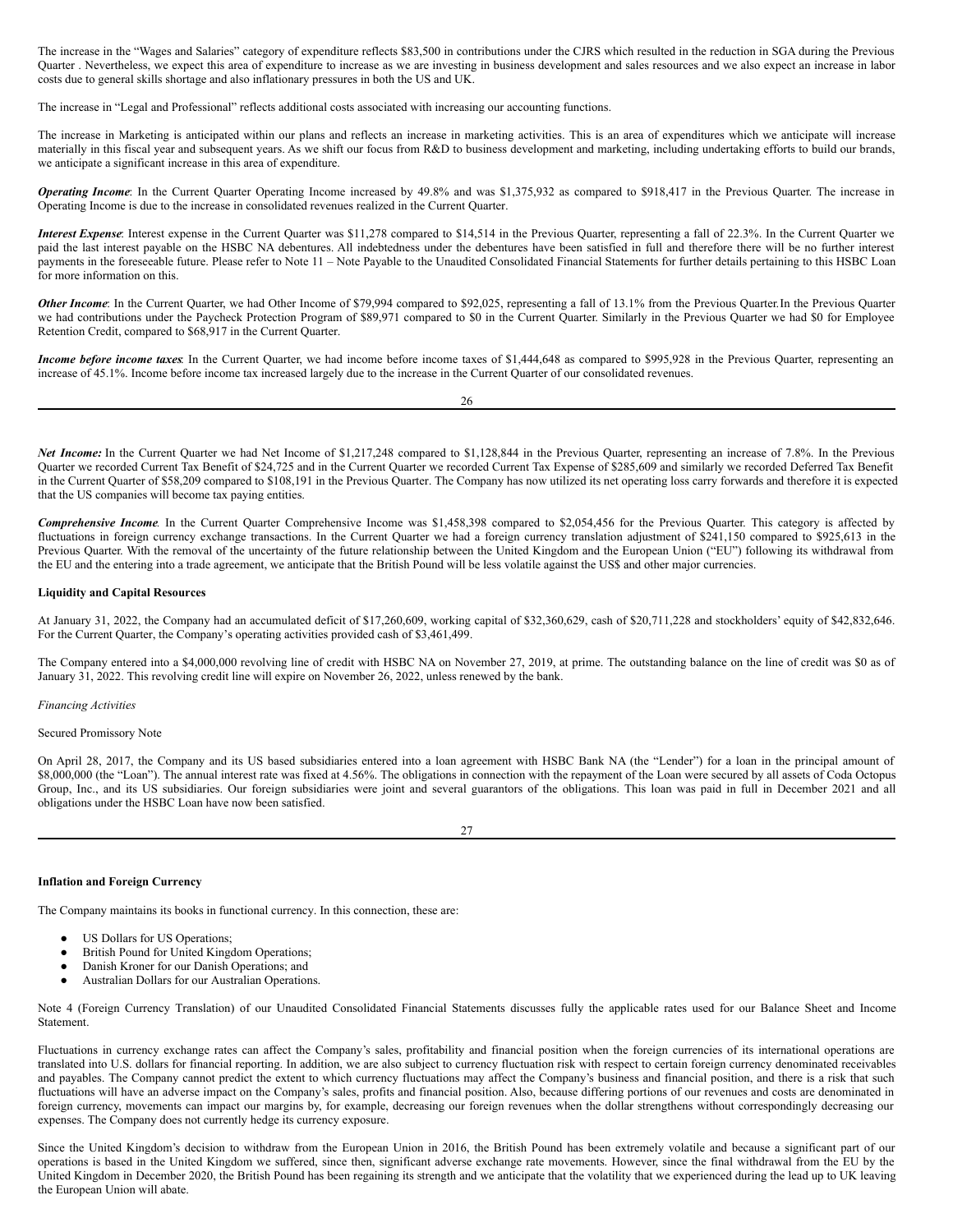The increase in the "Wages and Salaries" category of expenditure reflects \$83,500 in contributions under the CJRS which resulted in the reduction in SGA during the Previous Quarter . Nevertheless, we expect this area of expenditure to increase as we are investing in business development and sales resources and we also expect an increase in labor costs due to general skills shortage and also inflationary pressures in both the US and UK.

The increase in "Legal and Professional" reflects additional costs associated with increasing our accounting functions.

The increase in Marketing is anticipated within our plans and reflects an increase in marketing activities. This is an area of expenditures which we anticipate will increase materially in this fiscal year and subsequent years. As we shift our focus from R&D to business development and marketing, including undertaking efforts to build our brands, we anticipate a significant increase in this area of expenditure.

*Operating Income*: In the Current Quarter Operating Income increased by 49.8% and was \$1,375,932 as compared to \$918,417 in the Previous Quarter. The increase in Operating Income is due to the increase in consolidated revenues realized in the Current Quarter.

*Interest Expense*: Interest expense in the Current Quarter was \$11,278 compared to \$14,514 in the Previous Quarter, representing a fall of 22.3%. In the Current Quarter we paid the last interest payable on the HSBC NA debentures. All indebtedness under the debentures have been satisfied in full and therefore there will be no further interest payments in the foreseeable future. Please refer to Note 11 - Note Payable to the Unaudited Consolidated Financial Statements for further details pertaining to this HSBC Loan for more information on this.

Other Income: In the Current Quarter, we had Other Income of \$79,994 compared to \$92,025, representing a fall of 13.1% from the Previous Quarter. In the Previous Quarter we had contributions under the Paycheck Protection Program of \$89,971 compared to \$0 in the Current Quarter. Similarly in the Previous Quarter we had \$0 for Employee Retention Credit, compared to \$68,917 in the Current Quarter.

*Income before income taxes*: In the Current Quarter, we had income before income taxes of \$1,444,648 as compared to \$995,928 in the Previous Quarter, representing an increase of 45.1%. Income before income tax increased largely due to the increase in the Current Quarter of our consolidated revenues.

26

*Net Income:* In the Current Quarter we had Net Income of \$1,217,248 compared to \$1,128,844 in the Previous Quarter, representing an increase of 7.8%. In the Previous Quarter we recorded Current Tax Benefit of \$24,725 and in the Current Quarter we recorded Current Tax Expense of \$285,609 and similarly we recorded Deferred Tax Benefit in the Current Quarter of \$58,209 compared to \$108,191 in the Previous Quarter. The Company has now utilized its net operating loss carry forwards and therefore it is expected that the US companies will become tax paying entities.

*Comprehensive Income.* In the Current Quarter Comprehensive Income was \$1,458,398 compared to \$2,054,456 for the Previous Quarter. This category is affected by fluctuations in foreign currency exchange transactions. In the Current Quarter we had a foreign currency translation adjustment of \$241,150 compared to \$925,613 in the Previous Quarter. With the removal of the uncertainty of the future relationship between the United Kingdom and the European Union ("EU") following its withdrawal from the EU and the entering into a trade agreement, we anticipate that the British Pound will be less volatile against the US\$ and other major currencies.

# **Liquidity and Capital Resources**

At January 31, 2022, the Company had an accumulated deficit of \$17,260,609, working capital of \$32,360,629, cash of \$20,711,228 and stockholders' equity of \$42,832,646. For the Current Quarter, the Company's operating activities provided cash of \$3,461,499.

The Company entered into a \$4,000,000 revolving line of credit with HSBC NA on November 27, 2019, at prime. The outstanding balance on the line of credit was \$0 as of January 31, 2022. This revolving credit line will expire on November 26, 2022, unless renewed by the bank.

*Financing Activities*

Secured Promissory Note

On April 28, 2017, the Company and its US based subsidiaries entered into a loan agreement with HSBC Bank NA (the "Lender") for a loan in the principal amount of \$8,000,000 (the "Loan"). The annual interest rate was fixed at 4.56%. The obligations in connection with the repayment of the Loan were secured by all assets of Coda Octopus Group, Inc., and its US subsidiaries. Our foreign subsidiaries were joint and several guarantors of the obligations. This loan was paid in full in December 2021 and all obligations under the HSBC Loan have now been satisfied.

| I |  |
|---|--|

# **Inflation and Foreign Currency**

The Company maintains its books in functional currency. In this connection, these are:

- US Dollars for US Operations;
- British Pound for United Kingdom Operations;
- Danish Kroner for our Danish Operations; and
- Australian Dollars for our Australian Operations.

Note 4 (Foreign Currency Translation) of our Unaudited Consolidated Financial Statements discusses fully the applicable rates used for our Balance Sheet and Income Statement.

Fluctuations in currency exchange rates can affect the Company's sales, profitability and financial position when the foreign currencies of its international operations are translated into U.S. dollars for financial reporting. In addition, we are also subject to currency fluctuation risk with respect to certain foreign currency denominated receivables and payables. The Company cannot predict the extent to which currency fluctuations may affect the Company's business and financial position, and there is a risk that such fluctuations will have an adverse impact on the Company's sales, profits and financial position. Also, because differing portions of our revenues and costs are denominated in foreign currency, movements can impact our margins by, for example, decreasing our foreign revenues when the dollar strengthens without correspondingly decreasing our expenses. The Company does not currently hedge its currency exposure.

Since the United Kingdom's decision to withdraw from the European Union in 2016, the British Pound has been extremely volatile and because a significant part of our operations is based in the United Kingdom we suffered, since then, significant adverse exchange rate movements. However, since the final withdrawal from the EU by the United Kingdom in December 2020, the British Pound has been regaining its strength and we anticipate that the volatility that we experienced during the lead up to UK leaving the European Union will abate.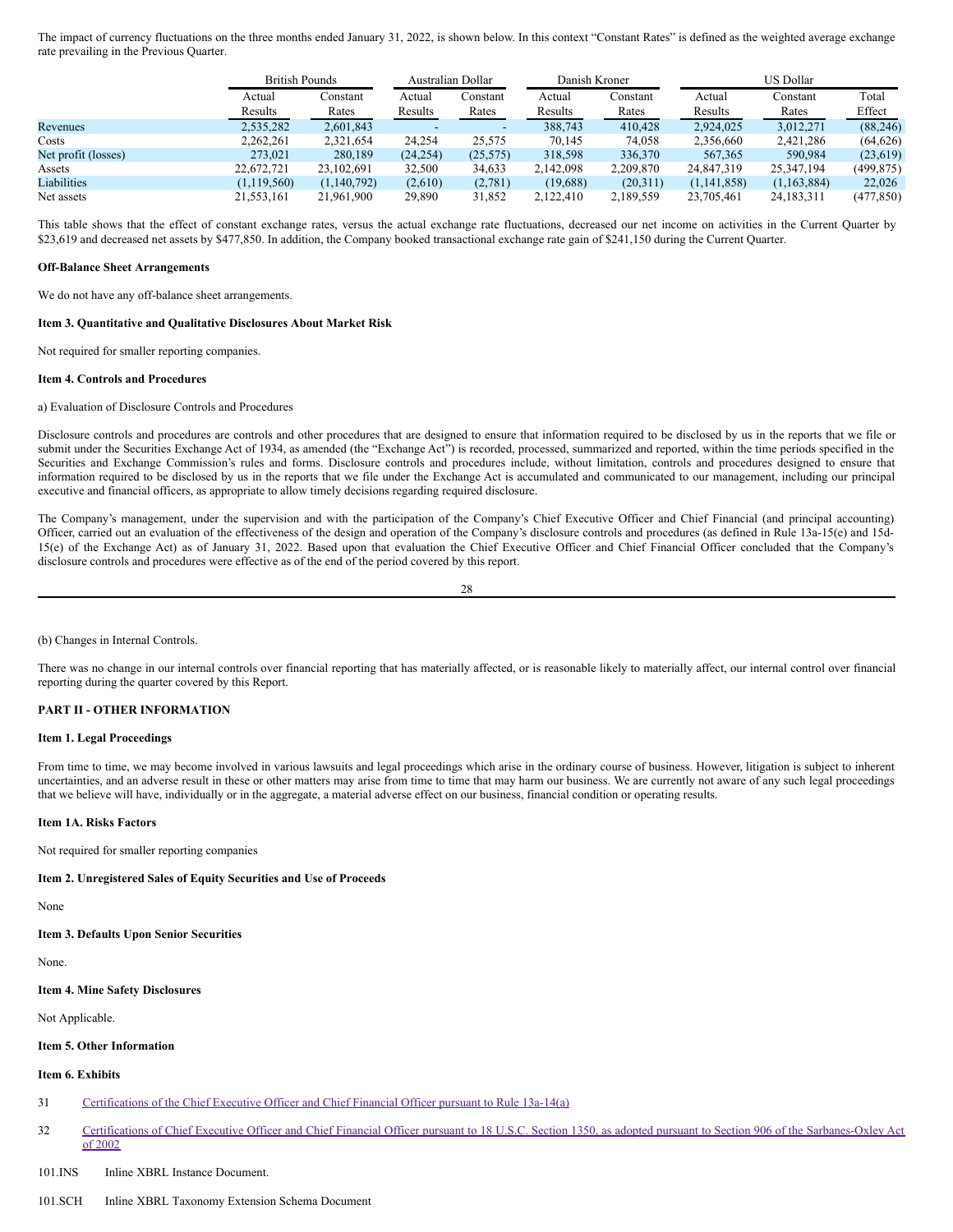The impact of currency fluctuations on the three months ended January 31, 2022, is shown below. In this context "Constant Rates" is defined as the weighted average exchange rate prevailing in the Previous Quarter.

|                     | <b>British Pounds</b> |              | Australian Dollar |                          | Danish Kroner |           | <b>US Dollar</b> |               |            |
|---------------------|-----------------------|--------------|-------------------|--------------------------|---------------|-----------|------------------|---------------|------------|
|                     | Actual                | Constant     | Actual            | Constant                 | Actual        | Constant  | Actual           | Constant      | Total      |
|                     | Results               | Rates        | Results           | Rates                    | Results       | Rates     | Results          | Rates         | Effect     |
| Revenues            | 2,535,282             | 2,601,843    |                   | $\overline{\phantom{a}}$ | 388,743       | 410,428   | 2.924.025        | 3.012.271     | (88, 246)  |
| Costs               | 2,262,261             | 2,321,654    | 24.254            | 25.575                   | 70.145        | 74,058    | 2.356,660        | 2,421,286     | (64, 626)  |
| Net profit (losses) | 273,021               | 280,189      | (24, 254)         | (25, 575)                | 318,598       | 336,370   | 567,365          | 590,984       | (23,619)   |
| Assets              | 22,672,721            | 23, 102, 691 | 32,500            | 34,633                   | 2,142,098     | 2,209,870 | 24,847,319       | 25.347.194    | (499, 875) |
| Liabilities         | (1, 119, 560)         | (1,140,792)  | (2,610)           | (2,781)                  | (19,688)      | (20,311)  | (1, 141, 858)    | (1, 163, 884) | 22,026     |
| Net assets          | 21,553,161            | 21,961,900   | 29,890            | 31,852                   | 2,122,410     | 2,189,559 | 23,705,461       | 24, 183, 311  | (477, 850) |

This table shows that the effect of constant exchange rates, versus the actual exchange rate fluctuations, decreased our net income on activities in the Current Quarter by \$23,619 and decreased net assets by \$477,850. In addition, the Company booked transactional exchange rate gain of \$241,150 during the Current Quarter.

#### **Off-Balance Sheet Arrangements**

We do not have any off-balance sheet arrangements.

#### **Item 3. Quantitative and Qualitative Disclosures About Market Risk**

Not required for smaller reporting companies.

#### **Item 4. Controls and Procedures**

a) Evaluation of Disclosure Controls and Procedures

Disclosure controls and procedures are controls and other procedures that are designed to ensure that information required to be disclosed by us in the reports that we file or submit under the Securities Exchange Act of 1934, as amended (the "Exchange Act") is recorded, processed, summarized and reported, within the time periods specified in the Securities and Exchange Commission's rules and forms. Disclosure controls and procedures include, without limitation, controls and procedures designed to ensure that information required to be disclosed by us in the reports that we file under the Exchange Act is accumulated and communicated to our management, including our principal executive and financial officers, as appropriate to allow timely decisions regarding required disclosure.

The Company's management, under the supervision and with the participation of the Company's Chief Executive Officer and Chief Financial (and principal accounting) Officer, carried out an evaluation of the effectiveness of the design and operation of the Company's disclosure controls and procedures (as defined in Rule 13a-15(e) and 15d-15(e) of the Exchange Act) as of January 31, 2022. Based upon that evaluation the Chief Executive Officer and Chief Financial Officer concluded that the Company's disclosure controls and procedures were effective as of the end of the period covered by this report.

28

(b) Changes in Internal Controls.

There was no change in our internal controls over financial reporting that has materially affected, or is reasonable likely to materially affect, our internal control over financial reporting during the quarter covered by this Report.

# **PART II - OTHER INFORMATION**

#### **Item 1. Legal Proceedings**

From time to time, we may become involved in various lawsuits and legal proceedings which arise in the ordinary course of business. However, litigation is subject to inherent uncertainties, and an adverse result in these or other matters may arise from time to time that may harm our business. We are currently not aware of any such legal proceedings that we believe will have, individually or in the aggregate, a material adverse effect on our business, financial condition or operating results.

#### **Item 1A. Risks Factors**

Not required for smaller reporting companies

#### **Item 2. Unregistered Sales of Equity Securities and Use of Proceeds**

None

**Item 3. Defaults Upon Senior Securities**

None.

# **Item 4. Mine Safety Disclosures**

Not Applicable.

# **Item 5. Other Information**

# **Item 6. Exhibits**

31 [Certifications](#page-17-0) of the Chief Executive Officer and Chief Financial Officer pursuant to Rule 13a-14(a)

32 Certifications of Chief Executive Officer and Chief Financial Officer pursuant to 18 U.S.C. Section 1350, as adopted pursuant to Section 906 of the [Sarbanes-Oxley](#page-19-0) Act of 2002

101.INS Inline XBRL Instance Document.

101.SCH Inline XBRL Taxonomy Extension Schema Document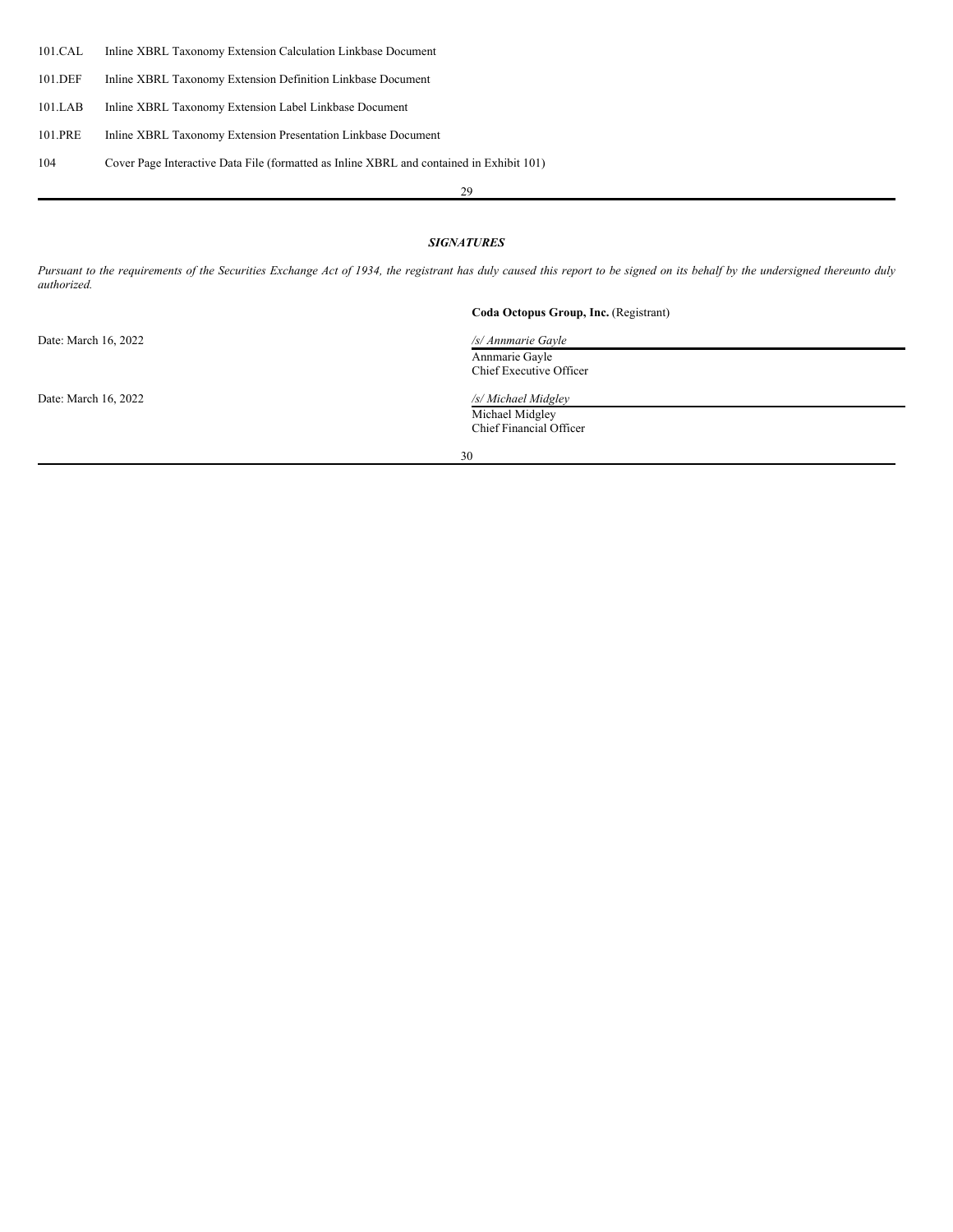- 101.CAL Inline XBRL Taxonomy Extension Calculation Linkbase Document
- 101.DEF Inline XBRL Taxonomy Extension Definition Linkbase Document
- 101.LAB Inline XBRL Taxonomy Extension Label Linkbase Document
- 101.PRE Inline XBRL Taxonomy Extension Presentation Linkbase Document
- 104 Cover Page Interactive Data File (formatted as Inline XBRL and contained in Exhibit 101)

29

# *SIGNATURES*

Pursuant to the requirements of the Securities Exchange Act of 1934, the registrant has duly caused this report to be signed on its behalf by the undersigned thereunto duly *authorized.*

|                      | Coda Octopus Group, Inc. (Registrant) |  |
|----------------------|---------------------------------------|--|
| Date: March 16, 2022 | /s/ Annmarie Gayle                    |  |
|                      | Annmarie Gayle                        |  |
|                      | Chief Executive Officer               |  |
| Date: March 16, 2022 | /s/ Michael Midgley                   |  |
|                      | Michael Midgley                       |  |
|                      | <b>Chief Financial Officer</b>        |  |
|                      | 30                                    |  |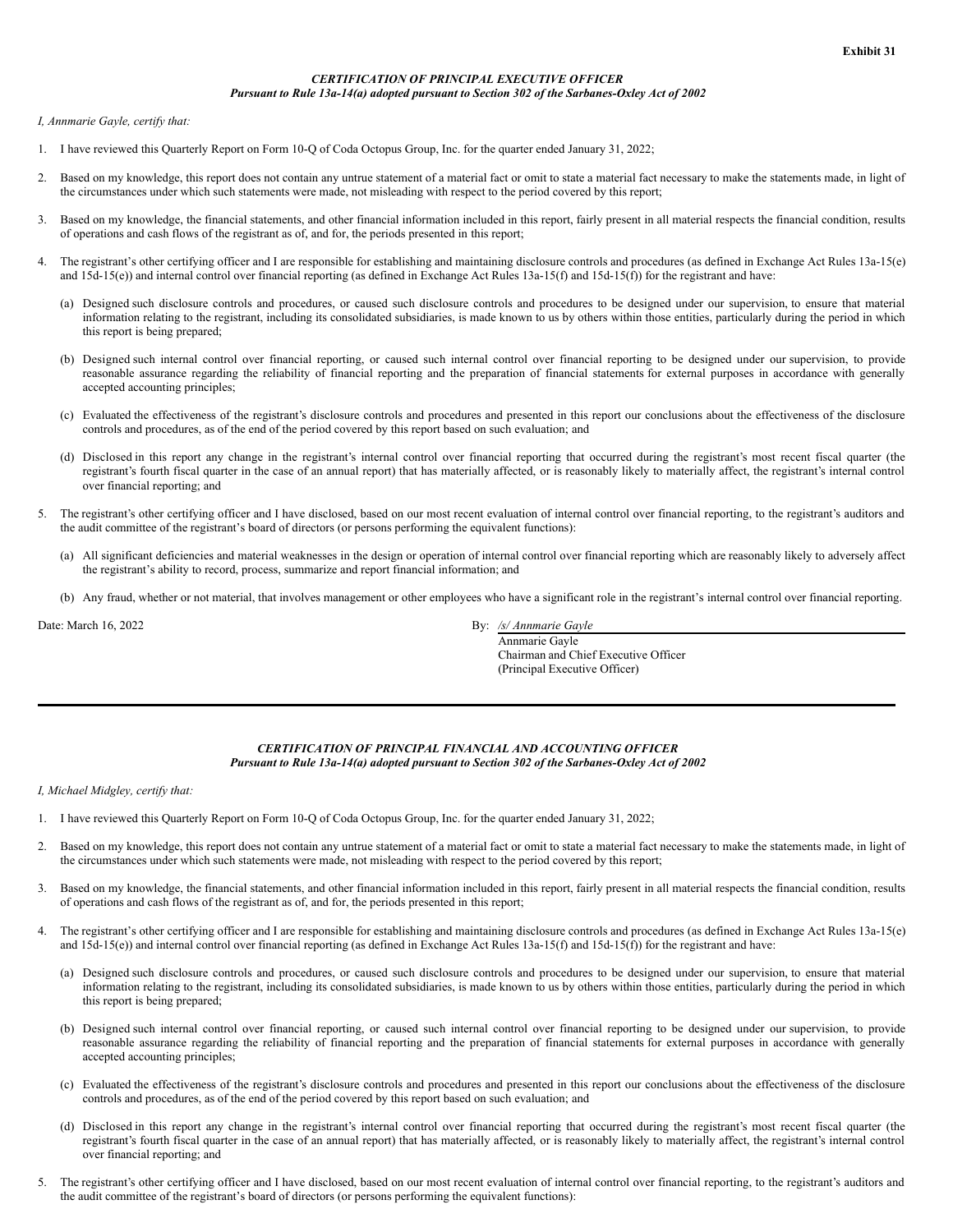# *CERTIFICATION OF PRINCIPAL EXECUTIVE OFFICER Pursuant to Rule 13a-14(a) adopted pursuant to Section 302 of the Sarbanes-Oxley Act of 2002*

<span id="page-17-0"></span>*I, Annmarie Gayle, certify that:*

- 1. I have reviewed this Quarterly Report on Form 10-Q of Coda Octopus Group, Inc. for the quarter ended January 31, 2022;
- 2. Based on my knowledge, this report does not contain any untrue statement of a material fact or omit to state a material fact necessary to make the statements made, in light of the circumstances under which such statements were made, not misleading with respect to the period covered by this report;
- 3. Based on my knowledge, the financial statements, and other financial information included in this report, fairly present in all material respects the financial condition, results of operations and cash flows of the registrant as of, and for, the periods presented in this report;
- 4. The registrant's other certifying officer and I are responsible for establishing and maintaining disclosure controls and procedures (as defined in Exchange Act Rules 13a-15(e) and 15d-15(e)) and internal control over financial reporting (as defined in Exchange Act Rules 13a-15(f) and 15d-15(f)) for the registrant and have:
	- (a) Designed such disclosure controls and procedures, or caused such disclosure controls and procedures to be designed under our supervision, to ensure that material information relating to the registrant, including its consolidated subsidiaries, is made known to us by others within those entities, particularly during the period in which this report is being prepared;
	- (b) Designed such internal control over financial reporting, or caused such internal control over financial reporting to be designed under our supervision, to provide reasonable assurance regarding the reliability of financial reporting and the preparation of financial statements for external purposes in accordance with generally accepted accounting principles;
	- (c) Evaluated the effectiveness of the registrant's disclosure controls and procedures and presented in this report our conclusions about the effectiveness of the disclosure controls and procedures, as of the end of the period covered by this report based on such evaluation; and
	- (d) Disclosed in this report any change in the registrant's internal control over financial reporting that occurred during the registrant's most recent fiscal quarter (the registrant's fourth fiscal quarter in the case of an annual report) that has materially affected, or is reasonably likely to materially affect, the registrant's internal control over financial reporting; and
- The registrant's other certifying officer and I have disclosed, based on our most recent evaluation of internal control over financial reporting, to the registrant's auditors and the audit committee of the registrant's board of directors (or persons performing the equivalent functions):
	- (a) All significant deficiencies and material weaknesses in the design or operation of internal control over financial reporting which are reasonably likely to adversely affect the registrant's ability to record, process, summarize and report financial information; and
	- (b) Any fraud, whether or not material, that involves management or other employees who have a significant role in the registrant's internal control over financial reporting.

Date: March 16, 2022 By: */s/ Annmarie Gayle*

Annmarie Gayle Chairman and Chief Executive Officer (Principal Executive Officer)

### *CERTIFICATION OF PRINCIPAL FINANCIAL AND ACCOUNTING OFFICER Pursuant to Rule 13a-14(a) adopted pursuant to Section 302 of the Sarbanes-Oxley Act of 2002*

#### *I, Michael Midgley, certify that:*

- 1. I have reviewed this Quarterly Report on Form 10-Q of Coda Octopus Group, Inc. for the quarter ended January 31, 2022;
- 2. Based on my knowledge, this report does not contain any untrue statement of a material fact or omit to state a material fact necessary to make the statements made, in light of the circumstances under which such statements were made, not misleading with respect to the period covered by this report;
- 3. Based on my knowledge, the financial statements, and other financial information included in this report, fairly present in all material respects the financial condition, results of operations and cash flows of the registrant as of, and for, the periods presented in this report;
- 4. The registrant's other certifying officer and I are responsible for establishing and maintaining disclosure controls and procedures (as defined in Exchange Act Rules 13a-15(e) and  $15d-15(e)$ ) and internal control over financial reporting (as defined in Exchange Act Rules  $13a-15(f)$ ) and  $15d-15(f)$ ) for the registrant and have:
	- (a) Designed such disclosure controls and procedures, or caused such disclosure controls and procedures to be designed under our supervision, to ensure that material information relating to the registrant, including its consolidated subsidiaries, is made known to us by others within those entities, particularly during the period in which this report is being prepared;
	- (b) Designed such internal control over financial reporting, or caused such internal control over financial reporting to be designed under our supervision, to provide reasonable assurance regarding the reliability of financial reporting and the preparation of financial statements for external purposes in accordance with generally accepted accounting principles;
	- (c) Evaluated the effectiveness of the registrant's disclosure controls and procedures and presented in this report our conclusions about the effectiveness of the disclosure controls and procedures, as of the end of the period covered by this report based on such evaluation; and
	- (d) Disclosed in this report any change in the registrant's internal control over financial reporting that occurred during the registrant's most recent fiscal quarter (the registrant's fourth fiscal quarter in the case of an annual report) that has materially affected, or is reasonably likely to materially affect, the registrant's internal control over financial reporting; and
- 5. The registrant's other certifying officer and I have disclosed, based on our most recent evaluation of internal control over financial reporting, to the registrant's auditors and the audit committee of the registrant's board of directors (or persons performing the equivalent functions):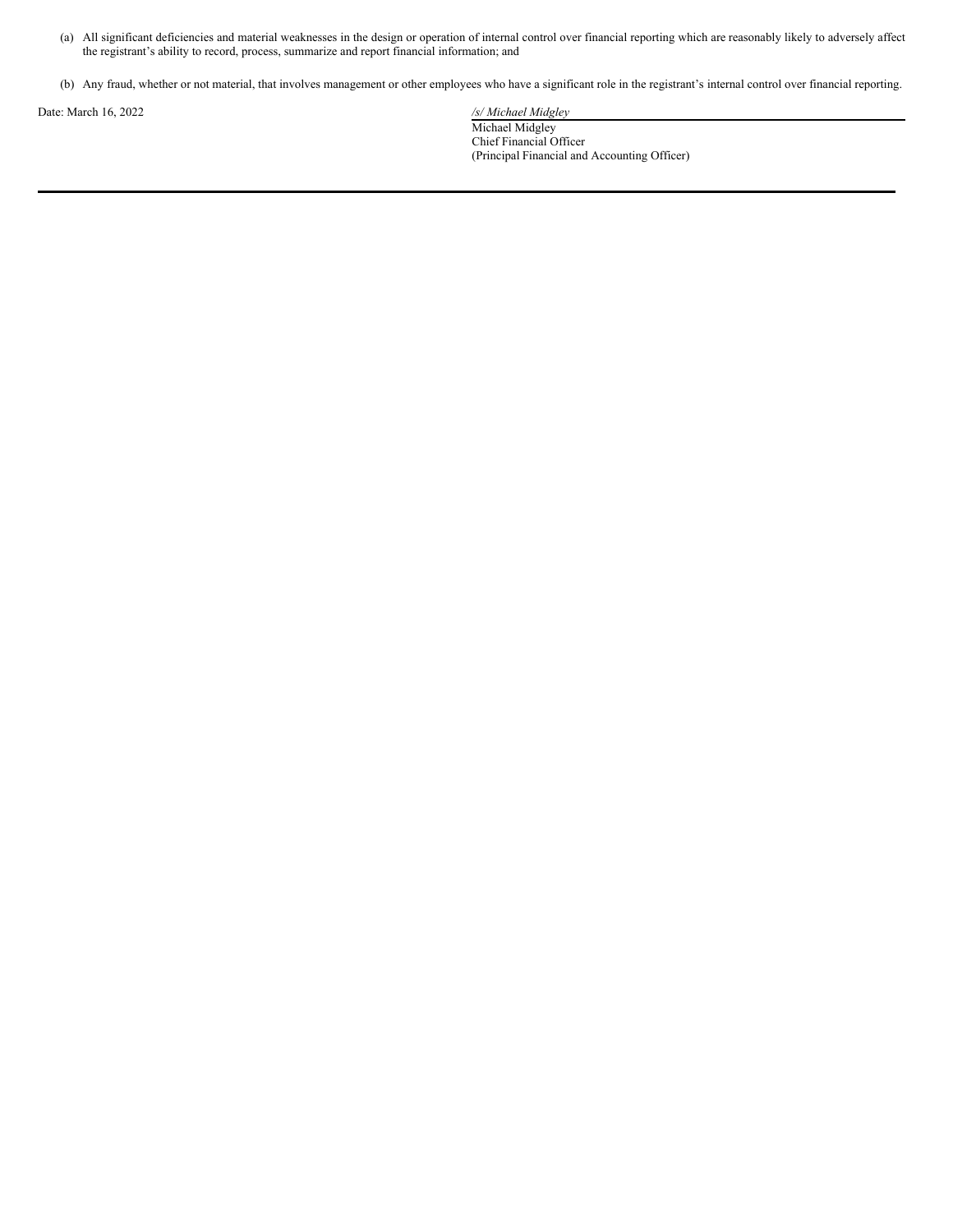- (a) All significant deficiencies and material weaknesses in the design or operation of internal control over financial reporting which are reasonably likely to adversely affect the registrant's ability to record, process, summarize and report financial information; and
- (b) Any fraud, whether or not material, that involves management or other employees who have a significant role in the registrant's internal control over financial reporting.

Date: March 16, 2022 */s/ Michael Midgley*

Michael Midgley Chief Financial Officer (Principal Financial and Accounting Officer)